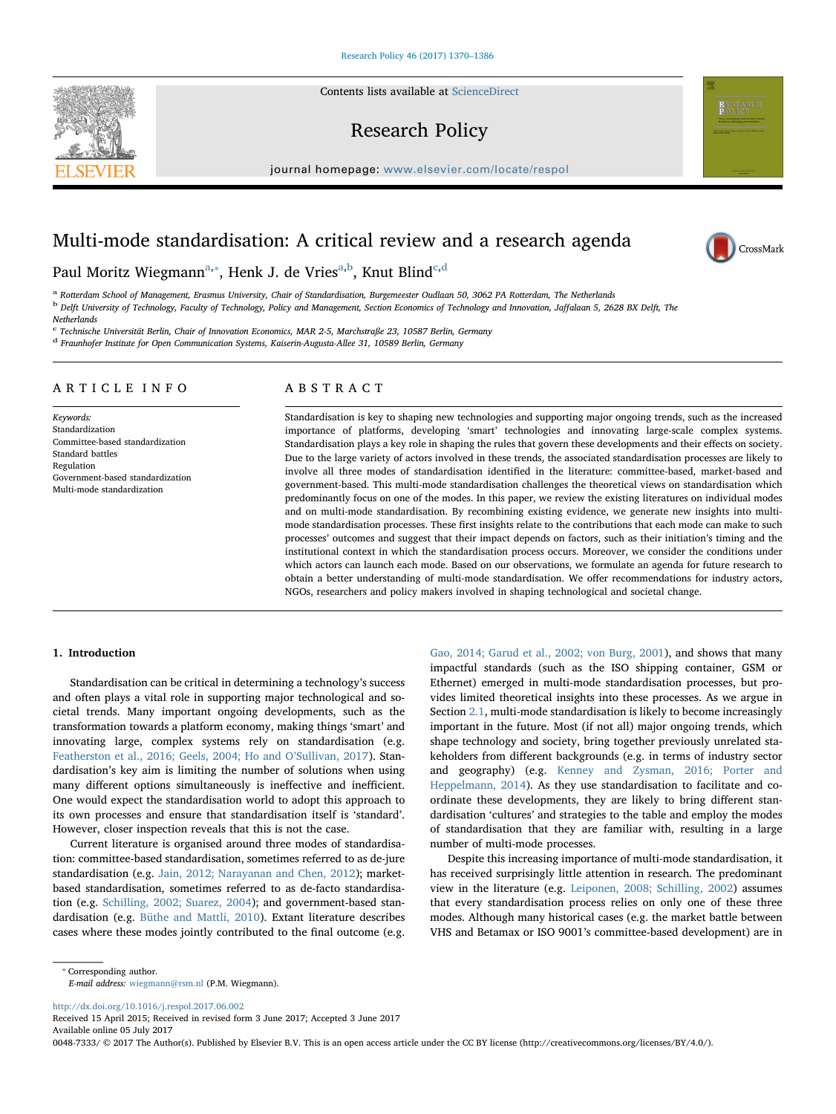Contents lists available at [ScienceDirect](http://www.sciencedirect.com/science/journal/00487333)

# Research Policy

journal homepage: [www.elsevier.com/locate/respol](http://www.elsevier.com/locate/respol)

# Multi-mode standardisation: A critical review and a research agenda



<span id="page-0-2"></span><span id="page-0-0"></span>a Rotterdam School of Management, Erasmus University, Chair of Standardisation, Burgemeester Oudlaan 50, 3062 PA Rotterdam, The Netherlands <sup>b</sup> Delft University of Technology, Faculty of Technology, Policy and Management, Section Economics of Technology and Innovation, Jaffalaan 5, 2628 BX Delft, The **Netherlands** 

<span id="page-0-3"></span> $c$  Technische Universität Berlin, Chair of Innovation Economics, MAR 2-5, Marchstraße 23, 10587 Berlin, Germany

<span id="page-0-4"></span><sup>d</sup> Fraunhofer Institute for Open Communication Systems, Kaiserin-Augusta-Allee 31, 10589 Berlin, Germany

# ARTICLE INFO

Keywords: Standardization Committee-based standardization Standard battles Regulation Government-based standardization Multi-mode standardization

# ABSTRACT

Standardisation is key to shaping new technologies and supporting major ongoing trends, such as the increased importance of platforms, developing 'smart' technologies and innovating large-scale complex systems. Standardisation plays a key role in shaping the rules that govern these developments and their effects on society. Due to the large variety of actors involved in these trends, the associated standardisation processes are likely to involve all three modes of standardisation identified in the literature: committee-based, market-based and government-based. This multi-mode standardisation challenges the theoretical views on standardisation which predominantly focus on one of the modes. In this paper, we review the existing literatures on individual modes and on multi-mode standardisation. By recombining existing evidence, we generate new insights into multimode standardisation processes. These first insights relate to the contributions that each mode can make to such processes' outcomes and suggest that their impact depends on factors, such as their initiation's timing and the institutional context in which the standardisation process occurs. Moreover, we consider the conditions under which actors can launch each mode. Based on our observations, we formulate an agenda for future research to obtain a better understanding of multi-mode standardisation. We offer recommendations for industry actors, NGOs, researchers and policy makers involved in shaping technological and societal change.

# 1. Introduction

Standardisation can be critical in determining a technology's success and often plays a vital role in supporting major technological and societal trends. Many important ongoing developments, such as the transformation towards a platform economy, making things 'smart' and innovating large, complex systems rely on standardisation (e.g. [Featherston et al., 2016; Geels, 2004; Ho and O](#page-15-0)'Sullivan, 2017). Standardisation's key aim is limiting the number of solutions when using many different options simultaneously is ineffective and inefficient. One would expect the standardisation world to adopt this approach to its own processes and ensure that standardisation itself is 'standard'. However, closer inspection reveals that this is not the case.

Current literature is organised around three modes of standardisation: committee-based standardisation, sometimes referred to as de-jure standardisation (e.g. [Jain, 2012; Narayanan and Chen, 2012](#page-15-1)); marketbased standardisation, sometimes referred to as de-facto standardisation (e.g. [Schilling, 2002; Suarez, 2004](#page-16-0)); and government-based standardisation (e.g. [Büthe and Mattli, 2010](#page-14-0)). Extant literature describes cases where these modes jointly contributed to the final outcome (e.g.

[Gao, 2014; Garud et al., 2002; von Burg, 2001\)](#page-15-2), and shows that many impactful standards (such as the ISO shipping container, GSM or Ethernet) emerged in multi-mode standardisation processes, but provides limited theoretical insights into these processes. As we argue in Section [2.1](#page-1-0), multi-mode standardisation is likely to become increasingly important in the future. Most (if not all) major ongoing trends, which shape technology and society, bring together previously unrelated stakeholders from different backgrounds (e.g. in terms of industry sector and geography) (e.g. [Kenney and Zysman, 2016; Porter and](#page-15-3) [Heppelmann, 2014\)](#page-15-3). As they use standardisation to facilitate and coordinate these developments, they are likely to bring different standardisation 'cultures' and strategies to the table and employ the modes of standardisation that they are familiar with, resulting in a large number of multi-mode processes.

Despite this increasing importance of multi-mode standardisation, it has received surprisingly little attention in research. The predominant view in the literature (e.g. [Leiponen, 2008; Schilling, 2002](#page-16-1)) assumes that every standardisation process relies on only one of these three modes. Although many historical cases (e.g. the market battle between VHS and Betamax or ISO 9001's committee-based development) are in

E-mail address: [wiegmann@rsm.nl](mailto:wiegmann@rsm.nl) (P.M. Wiegmann).

<http://dx.doi.org/10.1016/j.respol.2017.06.002>

Received 15 April 2015; Received in revised form 3 June 2017; Accepted 3 June 2017 Available online 05 July 2017

0048-7333/ © 2017 The Author(s). Published by Elsevier B.V. This is an open access article under the CC BY license (http://creativecommons.org/licenses/BY/4.0/).





<span id="page-0-1"></span><sup>⁎</sup> Corresponding author.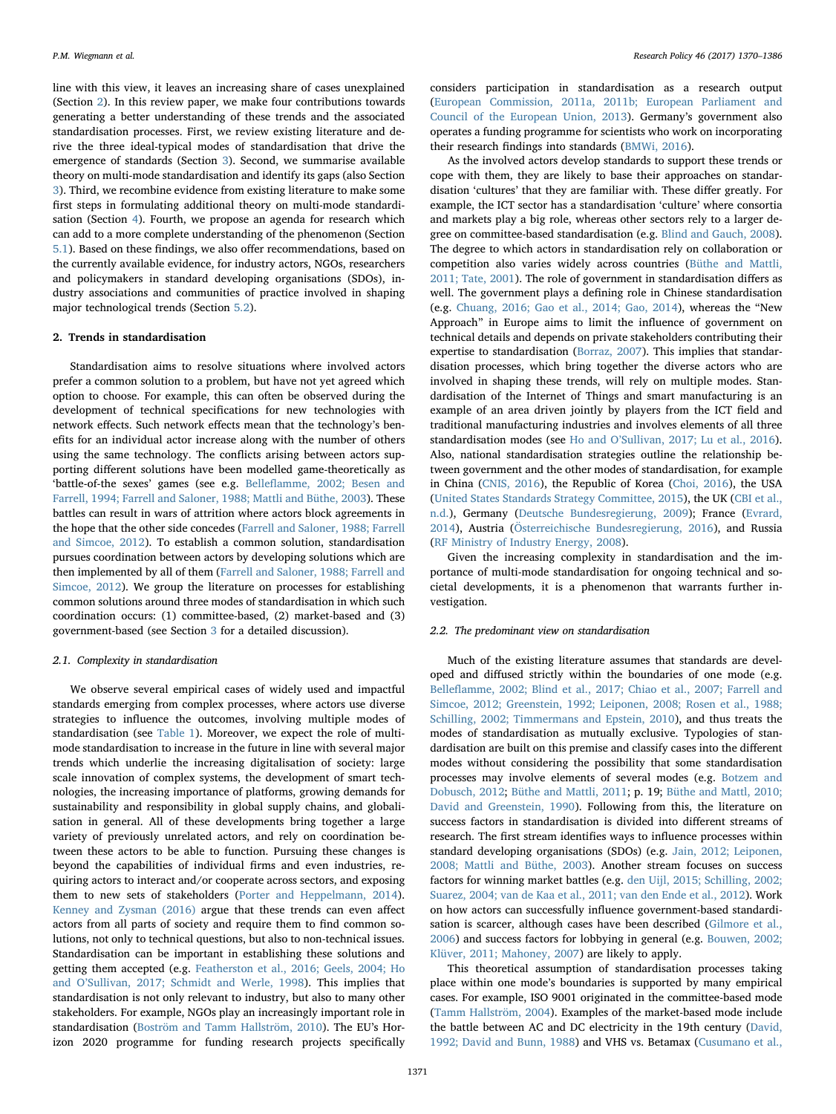line with this view, it leaves an increasing share of cases unexplained (Section [2\)](#page-1-1). In this review paper, we make four contributions towards generating a better understanding of these trends and the associated standardisation processes. First, we review existing literature and derive the three ideal-typical modes of standardisation that drive the emergence of standards (Section [3\)](#page-2-0). Second, we summarise available theory on multi-mode standardisation and identify its gaps (also Section [3](#page-2-0)). Third, we recombine evidence from existing literature to make some first steps in formulating additional theory on multi-mode standardisation (Section [4\)](#page-7-0). Fourth, we propose an agenda for research which can add to a more complete understanding of the phenomenon (Section [5.1\)](#page-12-0). Based on these findings, we also offer recommendations, based on the currently available evidence, for industry actors, NGOs, researchers and policymakers in standard developing organisations (SDOs), industry associations and communities of practice involved in shaping major technological trends (Section [5.2\)](#page-14-1).

# <span id="page-1-1"></span>2. Trends in standardisation

Standardisation aims to resolve situations where involved actors prefer a common solution to a problem, but have not yet agreed which option to choose. For example, this can often be observed during the development of technical specifications for new technologies with network effects. Such network effects mean that the technology's benefits for an individual actor increase along with the number of others using the same technology. The conflicts arising between actors supporting different solutions have been modelled game-theoretically as 'battle-of-the sexes' games (see e.g. Bellefl[amme, 2002; Besen and](#page-14-2) [Farrell, 1994; Farrell and Saloner, 1988; Mattli and Büthe, 2003](#page-14-2)). These battles can result in wars of attrition where actors block agreements in the hope that the other side concedes [\(Farrell and Saloner, 1988; Farrell](#page-15-4) [and Simcoe, 2012](#page-15-4)). To establish a common solution, standardisation pursues coordination between actors by developing solutions which are then implemented by all of them [\(Farrell and Saloner, 1988; Farrell and](#page-15-4) [Simcoe, 2012\)](#page-15-4). We group the literature on processes for establishing common solutions around three modes of standardisation in which such coordination occurs: (1) committee-based, (2) market-based and (3) government-based (see Section [3](#page-2-0) for a detailed discussion).

#### <span id="page-1-0"></span>2.1. Complexity in standardisation

We observe several empirical cases of widely used and impactful standards emerging from complex processes, where actors use diverse strategies to influence the outcomes, involving multiple modes of standardisation (see [Table 1](#page-2-1)). Moreover, we expect the role of multimode standardisation to increase in the future in line with several major trends which underlie the increasing digitalisation of society: large scale innovation of complex systems, the development of smart technologies, the increasing importance of platforms, growing demands for sustainability and responsibility in global supply chains, and globalisation in general. All of these developments bring together a large variety of previously unrelated actors, and rely on coordination between these actors to be able to function. Pursuing these changes is beyond the capabilities of individual firms and even industries, requiring actors to interact and/or cooperate across sectors, and exposing them to new sets of stakeholders [\(Porter and Heppelmann, 2014](#page-16-2)). Kenney [and Zysman \(2016\)](#page-15-3) argue that these trends can even affect actors from all parts of society and require them to find common solutions, not only to technical questions, but also to non-technical issues. Standardisation can be important in establishing these solutions and getting them accepted (e.g. [Featherston et al., 2016; Geels, 2004; Ho](#page-15-0) and O'[Sullivan, 2017; Schmidt and Werle, 1998\)](#page-15-0). This implies that standardisation is not only relevant to industry, but also to many other stakeholders. For example, NGOs play an increasingly important role in standardisation ([Boström and Tamm Hallström, 2010\)](#page-14-3). The EU's Horizon 2020 programme for funding research projects specifically

considers participation in standardisation as a research output ([European Commission, 2011a, 2011b; European Parliament and](#page-15-5) [Council of the European Union, 2013\)](#page-15-5). Germany's government also operates a funding programme for scientists who work on incorporating their research findings into standards [\(BMWi, 2016\)](#page-14-4).

As the involved actors develop standards to support these trends or cope with them, they are likely to base their approaches on standardisation 'cultures' that they are familiar with. These differ greatly. For example, the ICT sector has a standardisation 'culture' where consortia and markets play a big role, whereas other sectors rely to a larger degree on committee-based standardisation (e.g. [Blind and Gauch, 2008](#page-14-5)). The degree to which actors in standardisation rely on collaboration or competition also varies widely across countries ([Büthe and Mattli,](#page-14-6) [2011; Tate, 2001](#page-14-6)). The role of government in standardisation differs as well. The government plays a defining role in Chinese standardisation (e.g. [Chuang, 2016; Gao et al., 2014; Gao, 2014](#page-15-6)), whereas the "New Approach" in Europe aims to limit the influence of government on technical details and depends on private stakeholders contributing their expertise to standardisation [\(Borraz, 2007\)](#page-14-7). This implies that standardisation processes, which bring together the diverse actors who are involved in shaping these trends, will rely on multiple modes. Standardisation of the Internet of Things and smart manufacturing is an example of an area driven jointly by players from the ICT field and traditional manufacturing industries and involves elements of all three standardisation modes (see Ho and O'[Sullivan, 2017; Lu et al., 2016](#page-15-7)). Also, national standardisation strategies outline the relationship between government and the other modes of standardisation, for example in China ([CNIS, 2016\)](#page-14-8), the Republic of Korea [\(Choi, 2016](#page-15-8)), the USA ([United States Standards Strategy Committee, 2015](#page-16-3)), the UK (CBI [et al.,](#page-14-9) [n.d.](#page-14-9)), Germany ([Deutsche Bundesregierung, 2009\)](#page-15-9); France ([Evrard,](#page-15-10) [2014\)](#page-15-10), Austria [\(Österreichische Bundesregierung, 2016\)](#page-16-4), and Russia ([RF Ministry of Industry Energy, 2008\)](#page-16-5).

Given the increasing complexity in standardisation and the importance of multi-mode standardisation for ongoing technical and societal developments, it is a phenomenon that warrants further investigation.

# 2.2. The predominant view on standardisation

Much of the existing literature assumes that standards are developed and diffused strictly within the boundaries of one mode (e.g. Bellefl[amme, 2002; Blind et al., 2017; Chiao et al., 2007; Farrell and](#page-14-2) [Simcoe, 2012; Greenstein, 1992; Leiponen, 2008; Rosen et al., 1988;](#page-14-2) [Schilling, 2002; Timmermans and Epstein, 2010\)](#page-14-2), and thus treats the modes of standardisation as mutually exclusive. Typologies of standardisation are built on this premise and classify cases into the different modes without considering the possibility that some standardisation processes may involve elements of several modes (e.g. [Botzem and](#page-14-10) [Dobusch, 2012;](#page-14-10) [Büthe and Mattli, 2011](#page-14-6); p. 19; [Büthe and Mattl, 2010;](#page-15-11) [David and Greenstein, 1990\)](#page-15-11). Following from this, the literature on success factors in standardisation is divided into different streams of research. The first stream identifies ways to influence processes within standard developing organisations (SDOs) (e.g. [Jain, 2012; Leiponen,](#page-15-1) [2008; Mattli and Büthe, 2003](#page-15-1)). Another stream focuses on success factors for winning market battles (e.g. [den Uijl, 2015; Schilling, 2002;](#page-15-12) [Suarez, 2004; van de Kaa et al., 2011; van den Ende et al., 2012](#page-15-12)). Work on how actors can successfully influence government-based standardisation is scarcer, although cases have been described [\(Gilmore et al.,](#page-15-13) [2006\)](#page-15-13) and success factors for lobbying in general (e.g. [Bouwen, 2002;](#page-14-11) [Klüver, 2011; Mahoney, 2007](#page-14-11)) are likely to apply.

This theoretical assumption of standardisation processes taking place within one mode's boundaries is supported by many empirical cases. For example, ISO 9001 originated in the committee-based mode ([Tamm Hallström, 2004](#page-16-6)). Examples of the market-based mode include the battle between AC and DC electricity in the 19th century ([David,](#page-15-14) [1992; David and Bunn, 1988\)](#page-15-14) and VHS vs. Betamax ([Cusumano et al.,](#page-15-15)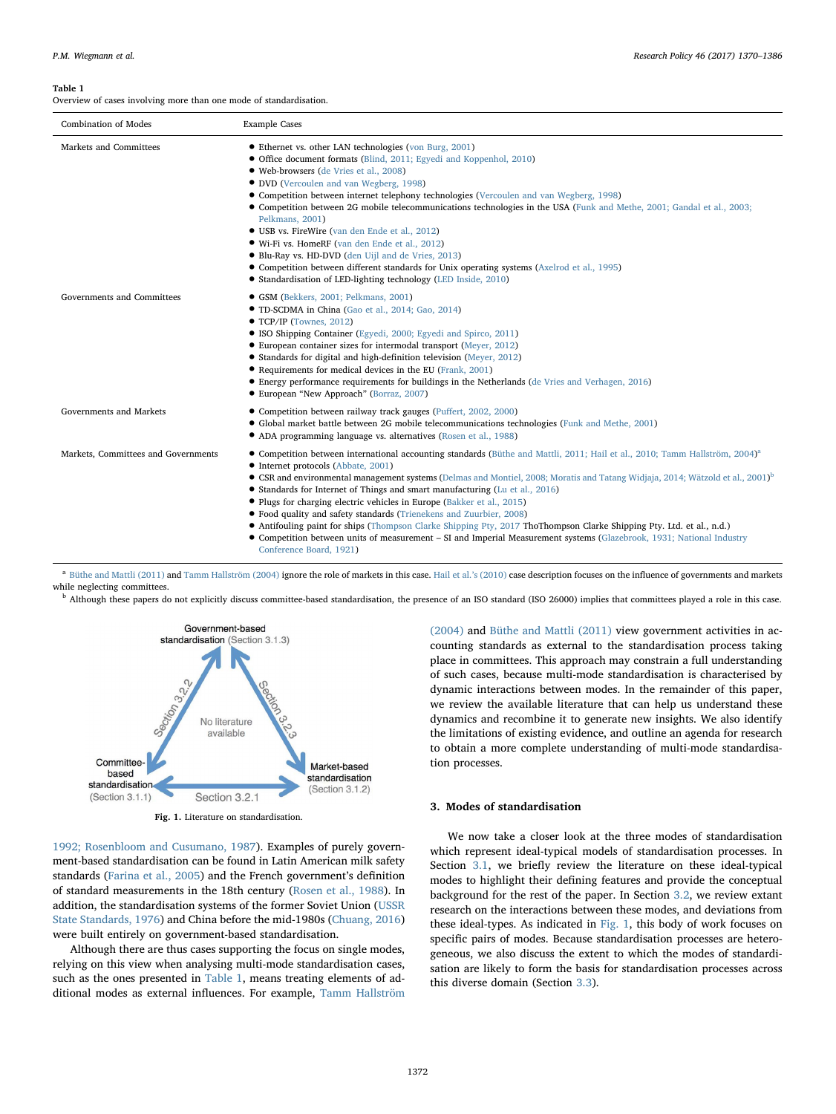<span id="page-2-1"></span>Overview of cases involving more than one mode of standardisation.

| <b>Combination of Modes</b>         | <b>Example Cases</b>                                                                                                                                                                                                                                                                                                                                                                                                                                                                                                                                                                                                                                                                                                                                                                                                                       |
|-------------------------------------|--------------------------------------------------------------------------------------------------------------------------------------------------------------------------------------------------------------------------------------------------------------------------------------------------------------------------------------------------------------------------------------------------------------------------------------------------------------------------------------------------------------------------------------------------------------------------------------------------------------------------------------------------------------------------------------------------------------------------------------------------------------------------------------------------------------------------------------------|
| Markets and Committees              | • Ethernet vs. other LAN technologies (von Burg, 2001)<br>• Office document formats (Blind, 2011; Egyedi and Koppenhol, 2010)<br>• Web-browsers (de Vries et al., 2008)<br>• DVD (Vercoulen and van Wegberg, 1998)<br>• Competition between internet telephony technologies (Vercoulen and van Wegberg, 1998)<br>• Competition between 2G mobile telecommunications technologies in the USA (Funk and Methe, 2001; Gandal et al., 2003;<br>Pelkmans, 2001)<br>• USB vs. FireWire (van den Ende et al., 2012)<br>• Wi-Fi vs. HomeRF (van den Ende et al., 2012)<br>• Blu-Ray vs. HD-DVD (den Uijl and de Vries, 2013)<br>• Competition between different standards for Unix operating systems (Axelrod et al., 1995)<br>• Standardisation of LED-lighting technology (LED Inside, 2010)                                                     |
| Governments and Committees          | • GSM (Bekkers, 2001; Pelkmans, 2001)<br>• TD-SCDMA in China (Gao et al., 2014; Gao, 2014)<br>• TCP/IP (Townes, 2012)<br>• ISO Shipping Container (Egyedi, 2000; Egyedi and Spirco, 2011)<br>• European container sizes for intermodal transport (Meyer, 2012)<br>• Standards for digital and high-definition television (Meyer, 2012)<br>• Requirements for medical devices in the EU (Frank, 2001)<br>• Energy performance requirements for buildings in the Netherlands (de Vries and Verhagen, 2016)<br>• European "New Approach" (Borraz, 2007)                                                                                                                                                                                                                                                                                       |
| Governments and Markets             | • Competition between railway track gauges (Puffert, 2002, 2000)<br>• Global market battle between 2G mobile telecommunications technologies (Funk and Methe, 2001)<br>• ADA programming language vs. alternatives (Rosen et al., 1988)                                                                                                                                                                                                                                                                                                                                                                                                                                                                                                                                                                                                    |
| Markets, Committees and Governments | • Competition between international accounting standards (Büthe and Mattli, 2011; Hail et al., 2010; Tamm Hallström, 2004) <sup>a</sup><br>• Internet protocols (Abbate, 2001)<br>• CSR and environmental management systems (Delmas and Montiel, 2008; Moratis and Tatang Widjaja, 2014; Wätzold et al., 2001) <sup>b</sup><br>• Standards for Internet of Things and smart manufacturing (Lu et al., 2016)<br>• Plugs for charging electric vehicles in Europe (Bakker et al., 2015)<br>• Food quality and safety standards (Trienekens and Zuurbier, 2008)<br>• Antifouling paint for ships (Thompson Clarke Shipping Pty, 2017 ThoThompson Clarke Shipping Pty. Ltd. et al., n.d.)<br>• Competition between units of measurement – SI and Imperial Measurement systems (Glazebrook, 1931; National Industry<br>Conference Board, 1921) |

<span id="page-2-3"></span>a [Büthe and Mattli \(2011\)](#page-14-6) and [Tamm Hallström \(2004\)](#page-16-6) ignore the role of markets in this case. [Hail et al.](#page-15-26)'s (2010) case description focuses on the influence of governments and markets while neglecting committees.

<span id="page-2-4"></span><sup>b</sup> Although these papers do not explicitly discuss committee-based standardisation, the presence of an ISO standard (ISO 26000) implies that committees played a role in this case.

<span id="page-2-2"></span>

Fig. 1. Literature on standardisation.

[1992; Rosenbloom and Cusumano, 1987](#page-15-15)). Examples of purely government-based standardisation can be found in Latin American milk safety standards ([Farina et al., 2005\)](#page-15-16) and the French government's definition of standard measurements in the 18th century ([Rosen et al., 1988\)](#page-16-7). In addition, the standardisation systems of the former Soviet Union ([USSR](#page-16-8) [State Standards, 1976](#page-16-8)) and China before the mid-1980s ([Chuang, 2016\)](#page-15-6) were built entirely on government-based standardisation.

Although there are thus cases supporting the focus on single modes, relying on this view when analysing multi-mode standardisation cases, such as the ones presented in [Table 1,](#page-2-1) means treating elements of additional modes as external influences. For example, [Tamm Hallström](#page-16-6)

[\(2004\)](#page-16-6) and [Büthe and Mattli \(2011\)](#page-14-6) view government activities in accounting standards as external to the standardisation process taking place in committees. This approach may constrain a full understanding of such cases, because multi-mode standardisation is characterised by dynamic interactions between modes. In the remainder of this paper, we review the available literature that can help us understand these dynamics and recombine it to generate new insights. We also identify the limitations of existing evidence, and outline an agenda for research to obtain a more complete understanding of multi-mode standardisation processes.

# <span id="page-2-0"></span>3. Modes of standardisation

We now take a closer look at the three modes of standardisation which represent ideal-typical models of standardisation processes. In Section [3.1,](#page-3-0) we briefly review the literature on these ideal-typical modes to highlight their defining features and provide the conceptual background for the rest of the paper. In Section [3.2](#page-4-0), we review extant research on the interactions between these modes, and deviations from these ideal-types. As indicated in [Fig. 1,](#page-2-2) this body of work focuses on specific pairs of modes. Because standardisation processes are heterogeneous, we also discuss the extent to which the modes of standardisation are likely to form the basis for standardisation processes across this diverse domain (Section [3.3\)](#page-7-1).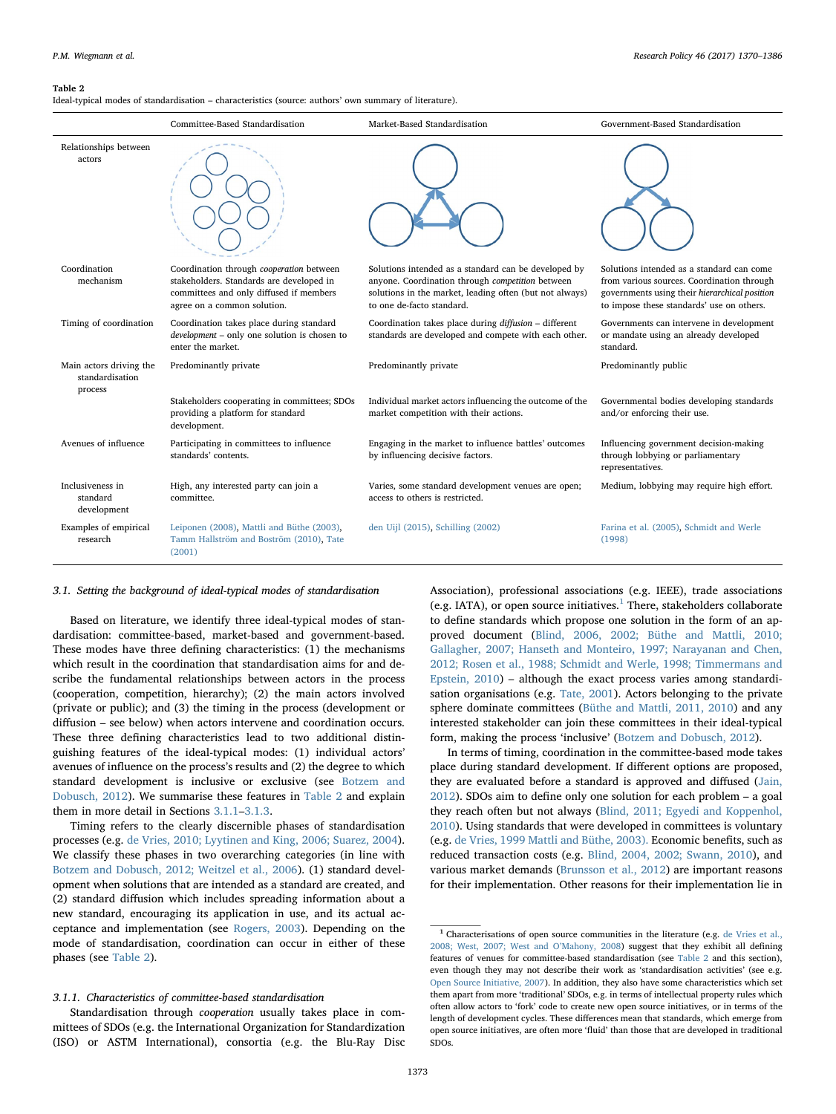#### <span id="page-3-1"></span>Table 2

Ideal-typical modes of standardisation – characteristics (source: authors' own summary of literature).

|                                                       | Committee-Based Standardisation                                                                                                                                | Market-Based Standardisation                                                                                                                                                                     | Government-Based Standardisation                                                                                                                                                      |
|-------------------------------------------------------|----------------------------------------------------------------------------------------------------------------------------------------------------------------|--------------------------------------------------------------------------------------------------------------------------------------------------------------------------------------------------|---------------------------------------------------------------------------------------------------------------------------------------------------------------------------------------|
| Relationships between<br>actors                       |                                                                                                                                                                |                                                                                                                                                                                                  |                                                                                                                                                                                       |
| Coordination<br>mechanism                             | Coordination through cooperation between<br>stakeholders. Standards are developed in<br>committees and only diffused if members<br>agree on a common solution. | Solutions intended as a standard can be developed by<br>anyone. Coordination through competition between<br>solutions in the market, leading often (but not always)<br>to one de-facto standard. | Solutions intended as a standard can come<br>from various sources. Coordination through<br>governments using their hierarchical position<br>to impose these standards' use on others. |
| Timing of coordination                                | Coordination takes place during standard<br>development - only one solution is chosen to<br>enter the market.                                                  | Coordination takes place during diffusion - different<br>standards are developed and compete with each other.                                                                                    | Governments can intervene in development<br>or mandate using an already developed<br>standard.                                                                                        |
| Main actors driving the<br>standardisation<br>process | Predominantly private                                                                                                                                          | Predominantly private                                                                                                                                                                            | Predominantly public                                                                                                                                                                  |
|                                                       | Stakeholders cooperating in committees; SDOs<br>providing a platform for standard<br>development.                                                              | Individual market actors influencing the outcome of the<br>market competition with their actions.                                                                                                | Governmental bodies developing standards<br>and/or enforcing their use.                                                                                                               |
| Avenues of influence                                  | Participating in committees to influence<br>standards' contents.                                                                                               | Engaging in the market to influence battles' outcomes<br>by influencing decisive factors.                                                                                                        | Influencing government decision-making<br>through lobbying or parliamentary<br>representatives.                                                                                       |
| Inclusiveness in<br>standard<br>development           | High, any interested party can join a<br>committee.                                                                                                            | Varies, some standard development venues are open;<br>access to others is restricted.                                                                                                            | Medium, lobbying may require high effort.                                                                                                                                             |
| Examples of empirical<br>research                     | Leiponen (2008), Mattli and Büthe (2003),<br>Tamm Hallström and Boström (2010), Tate<br>(2001)                                                                 | den Uijl (2015), Schilling (2002)                                                                                                                                                                | Farina et al. (2005), Schmidt and Werle<br>(1998)                                                                                                                                     |

# <span id="page-3-0"></span>3.1. Setting the background of ideal-typical modes of standardisation

Based on literature, we identify three ideal-typical modes of standardisation: committee-based, market-based and government-based. These modes have three defining characteristics: (1) the mechanisms which result in the coordination that standardisation aims for and describe the fundamental relationships between actors in the process (cooperation, competition, hierarchy); (2) the main actors involved (private or public); and (3) the timing in the process (development or diffusion – see below) when actors intervene and coordination occurs. These three defining characteristics lead to two additional distinguishing features of the ideal-typical modes: (1) individual actors' avenues of influence on the process's results and (2) the degree to which standard development is inclusive or exclusive (see [Botzem and](#page-14-10) [Dobusch, 2012](#page-14-10)). We summarise these features in [Table 2](#page-3-1) and explain them in more detail in Sections [3.1.1](#page-3-2)–[3.1.3](#page-4-1).

Timing refers to the clearly discernible phases of standardisation processes (e.g. [de Vries, 2010; Lyytinen and King, 2006; Suarez, 2004](#page-15-27)). We classify these phases in two overarching categories (in line with [Botzem and Dobusch, 2012; Weitzel et al., 2006](#page-14-10)). (1) standard development when solutions that are intended as a standard are created, and (2) standard diffusion which includes spreading information about a new standard, encouraging its application in use, and its actual acceptance and implementation (see [Rogers, 2003](#page-16-19)). Depending on the mode of standardisation, coordination can occur in either of these phases (see [Table 2\)](#page-3-1).

#### <span id="page-3-2"></span>3.1.1. Characteristics of committee-based standardisation

Standardisation through cooperation usually takes place in committees of SDOs (e.g. the International Organization for Standardization (ISO) or ASTM International), consortia (e.g. the Blu-Ray Disc Association), professional associations (e.g. IEEE), trade associations (e.g. IATA), or open source initiatives.<sup>[1](#page-3-3)</sup> There, stakeholders collaborate to define standards which propose one solution in the form of an approved document ([Blind, 2006, 2002; Büthe and Mattli, 2010;](#page-14-17) [Gallagher, 2007; Hanseth and Monteiro, 1997; Narayanan and Chen,](#page-14-17) [2012; Rosen et al., 1988; Schmidt and Werle, 1998; Timmermans and](#page-14-17) [Epstein, 2010](#page-14-17)) – although the exact process varies among standardisation organisations (e.g. [Tate, 2001\)](#page-16-20). Actors belonging to the private sphere dominate committees [\(Büthe and Mattli, 2011, 2010\)](#page-14-6) and any interested stakeholder can join these committees in their ideal-typical form, making the process 'inclusive' [\(Botzem and Dobusch, 2012](#page-14-10)).

In terms of timing, coordination in the committee-based mode takes place during standard development. If different options are proposed, they are evaluated before a standard is approved and diffused ([Jain,](#page-15-1) [2012\)](#page-15-1). SDOs aim to define only one solution for each problem – a goal they reach often but not always ([Blind, 2011; Egyedi and Koppenhol,](#page-14-12) [2010\)](#page-14-12). Using standards that were developed in committees is voluntary (e.g. [de Vries, 1999](#page-15-28) [Mattli and Büthe, 2003\).](#page-16-21) Economic benefits, such as reduced transaction costs (e.g. [Blind, 2004, 2002; Swann, 2010](#page-14-18)), and various market demands [\(Brunsson et al., 2012\)](#page-14-19) are important reasons for their implementation. Other reasons for their implementation lie in

<span id="page-3-3"></span> $1$  Characterisations of open source communities in the literature (e.g. [de Vries et al.,](#page-15-17) [2008; West, 2007; West and O](#page-15-17)'Mahony, 2008) suggest that they exhibit all defining features of venues for committee-based standardisation (see [Table 2](#page-3-1) and this section), even though they may not describe their work as 'standardisation activities' (see e.g. [Open Source Initiative, 2007](#page-16-24)). In addition, they also have some characteristics which set them apart from more 'traditional' SDOs, e.g. in terms of intellectual property rules which often allow actors to 'fork' code to create new open source initiatives, or in terms of the length of development cycles. These differences mean that standards, which emerge from open source initiatives, are often more 'fluid' than those that are developed in traditional SDOs.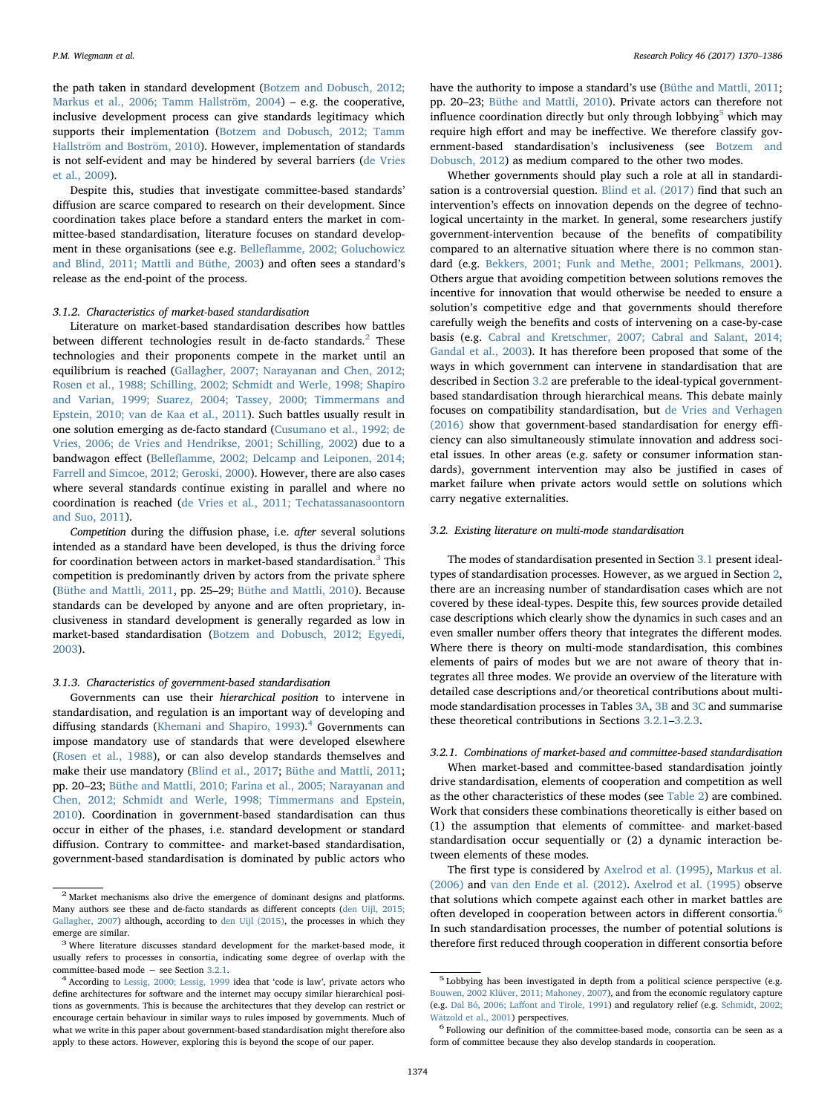the path taken in standard development ([Botzem and Dobusch, 2012;](#page-14-10) [Markus et al., 2006; Tamm Hallström, 2004](#page-14-10)) – e.g. the cooperative, inclusive development process can give standards legitimacy which supports their implementation [\(Botzem and Dobusch, 2012; Tamm](#page-14-10) [Hallström and Boström, 2010\)](#page-14-10). However, implementation of standards is not self-evident and may be hindered by several barriers [\(de Vries](#page-15-29) [et al., 2009](#page-15-29)).

Despite this, studies that investigate committee-based standards' diffusion are scarce compared to research on their development. Since coordination takes place before a standard enters the market in committee-based standardisation, literature focuses on standard development in these organisations (see e.g. Bellefl[amme, 2002; Goluchowicz](#page-14-2) [and Blind, 2011; Mattli and Büthe, 2003](#page-14-2)) and often sees a standard's release as the end-point of the process.

# 3.1.2. Characteristics of market-based standardisation

Literature on market-based standardisation describes how battles between different technologies result in de-facto standards. $2$  These technologies and their proponents compete in the market until an equilibrium is reached ([Gallagher, 2007; Narayanan and Chen, 2012;](#page-15-30) [Rosen et al., 1988; Schilling, 2002; Schmidt and Werle, 1998; Shapiro](#page-15-30) [and Varian, 1999; Suarez, 2004; Tassey, 2000; Timmermans and](#page-15-30) [Epstein, 2010; van de Kaa et al., 2011](#page-15-30)). Such battles usually result in one solution emerging as de-facto standard ([Cusumano et al., 1992; de](#page-15-15) [Vries, 2006; de Vries and Hendrikse, 2001; Schilling, 2002\)](#page-15-15) due to a bandwagon effect (Bellefl[amme, 2002; Delcamp and Leiponen, 2014;](#page-14-2) [Farrell and Simcoe, 2012; Geroski, 2000](#page-14-2)). However, there are also cases where several standards continue existing in parallel and where no coordination is reached [\(de Vries et al., 2011; Techatassanasoontorn](#page-15-31) [and Suo, 2011](#page-15-31)).

Competition during the diffusion phase, i.e. after several solutions intended as a standard have been developed, is thus the driving force for coordination between actors in market-based standardisation.<sup>[3](#page-4-3)</sup> This competition is predominantly driven by actors from the private sphere ([Büthe and Mattli, 2011,](#page-14-6) pp. 25–29; [Büthe and Mattli, 2010\)](#page-14-0). Because standards can be developed by anyone and are often proprietary, inclusiveness in standard development is generally regarded as low in market-based standardisation ([Botzem and Dobusch, 2012; Egyedi,](#page-14-10) [2003\)](#page-14-10).

#### <span id="page-4-1"></span>3.1.3. Characteristics of government-based standardisation

Governments can use their hierarchical position to intervene in standardisation, and regulation is an important way of developing and diffusing standards [\(Khemani and Shapiro, 1993](#page-15-32)).<sup>[4](#page-4-4)</sup> Governments can impose mandatory use of standards that were developed elsewhere ([Rosen et al., 1988\)](#page-16-7), or can also develop standards themselves and make their use mandatory ([Blind et al., 2017;](#page-14-20) [Büthe and Mattli, 2011](#page-14-6); pp. 20–23; [Büthe and Mattli, 2010; Farina et al., 2005; Narayanan and](#page-14-0) [Chen, 2012; Schmidt and Werle, 1998; Timmermans and Epstein,](#page-14-0) [2010\)](#page-14-0). Coordination in government-based standardisation can thus occur in either of the phases, i.e. standard development or standard diffusion. Contrary to committee- and market-based standardisation, government-based standardisation is dominated by public actors who have the authority to impose a standard's use [\(Büthe and Mattli, 2011](#page-14-6); pp. 20–23; [Büthe and Mattli, 2010\)](#page-14-0). Private actors can therefore not influence coordination directly but only through lobbying $5$  which may require high effort and may be ineffective. We therefore classify government-based standardisation's inclusiveness (see [Botzem and](#page-14-10) [Dobusch, 2012\)](#page-14-10) as medium compared to the other two modes.

Whether governments should play such a role at all in standardisation is a controversial question. [Blind et al. \(2017\)](#page-14-20) find that such an intervention's effects on innovation depends on the degree of technological uncertainty in the market. In general, some researchers justify government-intervention because of the benefits of compatibility compared to an alternative situation where there is no common standard (e.g. [Bekkers, 2001; Funk and Methe, 2001; Pelkmans, 2001](#page-14-14)). Others argue that avoiding competition between solutions removes the incentive for innovation that would otherwise be needed to ensure a solution's competitive edge and that governments should therefore carefully weigh the benefits and costs of intervening on a case-by-case basis (e.g. [Cabral and Kretschmer, 2007; Cabral and Salant, 2014;](#page-15-33) [Gandal et al., 2003](#page-15-33)). It has therefore been proposed that some of the ways in which government can intervene in standardisation that are described in Section [3.2](#page-4-0) are preferable to the ideal-typical governmentbased standardisation through hierarchical means. This debate mainly focuses on compatibility standardisation, but [de Vries and Verhagen](#page-15-23) [\(2016\)](#page-15-23) show that government-based standardisation for energy efficiency can also simultaneously stimulate innovation and address societal issues. In other areas (e.g. safety or consumer information standards), government intervention may also be justified in cases of market failure when private actors would settle on solutions which carry negative externalities.

# <span id="page-4-0"></span>3.2. Existing literature on multi-mode standardisation

The modes of standardisation presented in Section [3.1](#page-3-0) present idealtypes of standardisation processes. However, as we argued in Section [2](#page-1-1), there are an increasing number of standardisation cases which are not covered by these ideal-types. Despite this, few sources provide detailed case descriptions which clearly show the dynamics in such cases and an even smaller number offers theory that integrates the different modes. Where there is theory on multi-mode standardisation, this combines elements of pairs of modes but we are not aware of theory that integrates all three modes. We provide an overview of the literature with detailed case descriptions and/or theoretical contributions about multimode standardisation processes in Tables [3A,](#page-5-0) [3B](#page-5-1) and [3C](#page-6-0) and summarise these theoretical contributions in Sections [3.2.1](#page-4-6)–[3.2.3.](#page-6-1)

#### <span id="page-4-6"></span>3.2.1. Combinations of market-based and committee-based standardisation

When market-based and committee-based standardisation jointly drive standardisation, elements of cooperation and competition as well as the other characteristics of these modes (see [Table 2\)](#page-3-1) are combined. Work that considers these combinations theoretically is either based on (1) the assumption that elements of committee- and market-based standardisation occur sequentially or (2) a dynamic interaction between elements of these modes.

The first type is considered by [Axelrod et al. \(1995\),](#page-14-13) [Markus et al.](#page-16-25) [\(2006\)](#page-16-25) and [van den Ende et al. \(2012\).](#page-16-11) [Axelrod et al. \(1995\)](#page-14-13) observe that solutions which compete against each other in market battles are often developed in cooperation between actors in different consortia.<sup>[6](#page-4-7)</sup> In such standardisation processes, the number of potential solutions is therefore first reduced through cooperation in different consortia before

<span id="page-4-2"></span> $^2$  Market mechanisms also drive the emergence of dominant designs and platforms. Many authors see these and de-facto standards as different concepts [\(den Uijl, 2015;](#page-15-12) [Gallagher, 2007\)](#page-15-12) although, according to [den Uijl \(2015\),](#page-15-12) the processes in which they emerge are similar.<br> $3$  Where literature discusses standard development for the market-based mode, it

<span id="page-4-3"></span>usually refers to processes in consortia, indicating some degree of overlap with the committee-based mode  $-$  see Section 3.2.1.

<span id="page-4-4"></span><sup>&</sup>lt;sup>4</sup> According to [Lessig, 2000; Lessig, 1999](#page-16-26) idea that 'code is law', private actors who define architectures for software and the internet may occupy similar hierarchical positions as governments. This is because the architectures that they develop can restrict or encourage certain behaviour in similar ways to rules imposed by governments. Much of what we write in this paper about government-based standardisation might therefore also apply to these actors. However, exploring this is beyond the scope of our paper.

<span id="page-4-5"></span><sup>5</sup> Lobbying has been investigated in depth from a political science perspective (e.g. [Bouwen, 2002](#page-14-11) [Klüver, 2011; Mahoney, 2007\)](#page-15-34), and from the economic regulatory capture (e.g. Dal Bó, 2006; Laff[ont and Tirole, 1991\)](#page-15-35) and regulatory relief (e.g. [Schmidt, 2002;](#page-16-27)  $\,$  [Wätzold et al., 2001\)](#page-16-27) perspectives.  $\,$  6 Following our definition of the committee-based mode, consortia can be seen as a

<span id="page-4-7"></span>form of committee because they also develop standards in cooperation.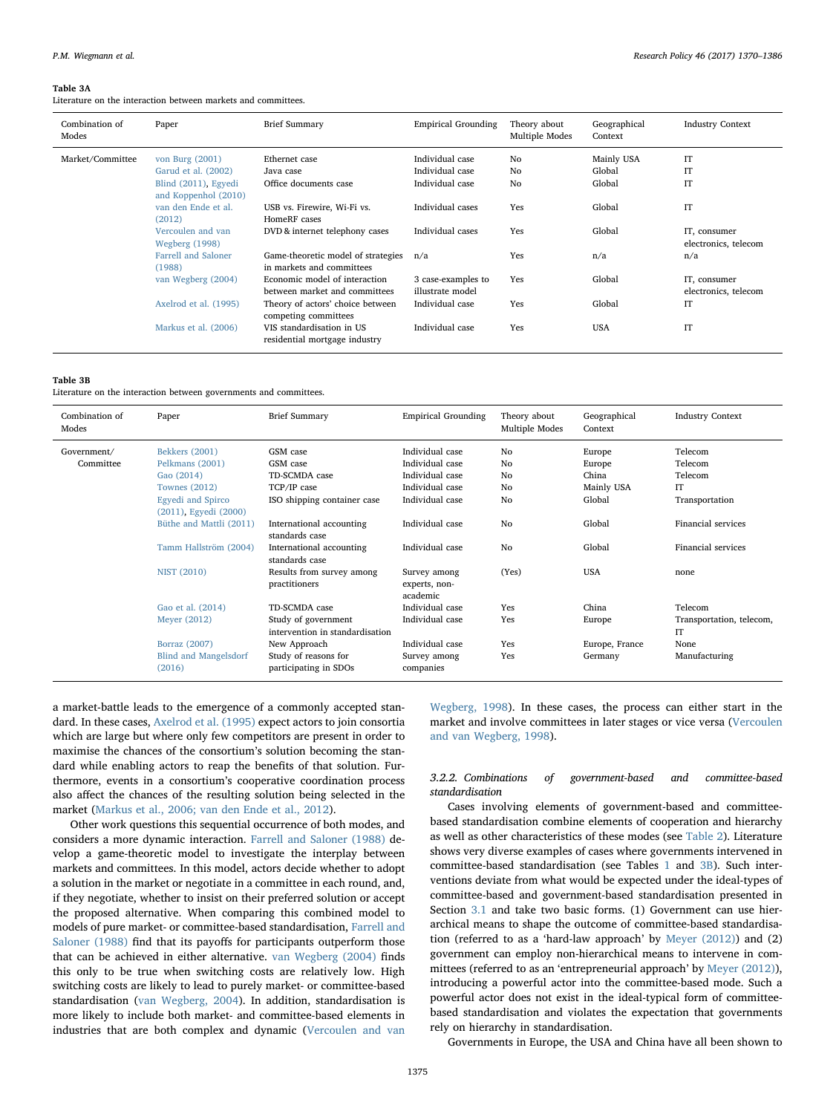#### <span id="page-5-0"></span>Table 3A

Literature on the interaction between markets and committees.

| Combination of<br>Modes | Paper                                                                                  | <b>Brief Summary</b>                                            | <b>Empirical Grounding</b>                            | Theory about<br>Multiple Modes | Geographical<br>Context        | <b>Industry Context</b>              |
|-------------------------|----------------------------------------------------------------------------------------|-----------------------------------------------------------------|-------------------------------------------------------|--------------------------------|--------------------------------|--------------------------------------|
| Market/Committee        | von Burg (2001)<br>Garud et al. (2002)<br>Blind (2011), Egyedi<br>and Koppenhol (2010) | Ethernet case<br>Java case<br>Office documents case             | Individual case<br>Individual case<br>Individual case | No<br>No<br>No                 | Mainly USA<br>Global<br>Global | IT<br>IT<br>IT                       |
|                         | van den Ende et al.<br>(2012)                                                          | USB vs. Firewire, Wi-Fi vs.<br>HomeRF cases                     | Individual cases                                      | Yes                            | Global                         | IT                                   |
|                         | Vercoulen and van<br><b>Wegberg (1998)</b>                                             | DVD & internet telephony cases                                  | Individual cases                                      | Yes                            | Global                         | IT, consumer<br>electronics, telecom |
|                         | Farrell and Saloner<br>(1988)                                                          | Game-theoretic model of strategies<br>in markets and committees | n/a                                                   | Yes                            | n/a                            | n/a                                  |
|                         | van Wegberg (2004)                                                                     | Economic model of interaction<br>between market and committees  | 3 case-examples to<br>illustrate model                | Yes                            | Global                         | IT, consumer<br>electronics, telecom |
|                         | Axelrod et al. (1995)                                                                  | Theory of actors' choice between<br>competing committees        | Individual case                                       | Yes                            | Global                         | IT                                   |
|                         | Markus et al. (2006)                                                                   | VIS standardisation in US<br>residential mortgage industry      | Individual case                                       | Yes                            | <b>USA</b>                     | <b>IT</b>                            |

#### <span id="page-5-1"></span>Table 3B

Literature on the interaction between governments and committees.

| Combination of<br>Modes | Paper                                             | <b>Brief Summary</b>                                   | <b>Empirical Grounding</b>                | Theory about<br>Multiple Modes | Geographical<br>Context | <b>Industry Context</b>        |
|-------------------------|---------------------------------------------------|--------------------------------------------------------|-------------------------------------------|--------------------------------|-------------------------|--------------------------------|
| Government/             | <b>Bekkers</b> (2001)                             | GSM case                                               | Individual case                           | No                             | Europe                  | Telecom                        |
| Committee               | Pelkmans (2001)                                   | GSM case                                               | Individual case                           | No                             | Europe                  | Telecom                        |
|                         | Gao (2014)                                        | TD-SCMDA case                                          | Individual case                           | No                             | China                   | Telecom                        |
|                         | <b>Townes (2012)</b>                              | TCP/IP case                                            | Individual case                           | No                             | Mainly USA              | IT                             |
|                         | <b>Egyedi</b> and Spirco<br>(2011), Egyedi (2000) | ISO shipping container case                            | Individual case                           | No                             | Global                  | Transportation                 |
|                         | Büthe and Mattli (2011)                           | International accounting<br>standards case             | Individual case                           | No                             | Global                  | Financial services             |
|                         | Tamm Hallström (2004)                             | International accounting<br>standards case             | Individual case                           | No                             | Global                  | Financial services             |
|                         | <b>NIST (2010)</b>                                | Results from survey among<br>practitioners             | Survey among<br>experts, non-<br>academic | (Yes)                          | <b>USA</b>              | none                           |
|                         | Gao et al. (2014)                                 | TD-SCMDA case                                          | Individual case                           | Yes                            | China                   | Telecom                        |
|                         | Meyer (2012)                                      | Study of government<br>intervention in standardisation | Individual case                           | Yes                            | Europe                  | Transportation, telecom,<br>IT |
|                         | Borraz (2007)                                     | New Approach                                           | Individual case                           | Yes                            | Europe, France          | None                           |
|                         | <b>Blind and Mangelsdorf</b><br>(2016)            | Study of reasons for<br>participating in SDOs          | Survey among<br>companies                 | Yes                            | Germany                 | Manufacturing                  |

a market-battle leads to the emergence of a commonly accepted standard. In these cases, [Axelrod et al. \(1995\)](#page-14-13) expect actors to join consortia which are large but where only few competitors are present in order to maximise the chances of the consortium's solution becoming the standard while enabling actors to reap the benefits of that solution. Furthermore, events in a consortium's cooperative coordination process also affect the chances of the resulting solution being selected in the market [\(Markus et al., 2006; van den Ende et al., 2012](#page-16-25)).

Other work questions this sequential occurrence of both modes, and considers a more dynamic interaction. [Farrell and Saloner \(1988\)](#page-15-4) develop a game-theoretic model to investigate the interplay between markets and committees. In this model, actors decide whether to adopt a solution in the market or negotiate in a committee in each round, and, if they negotiate, whether to insist on their preferred solution or accept the proposed alternative. When comparing this combined model to models of pure market- or committee-based standardisation, [Farrell and](#page-15-4) [Saloner \(1988\)](#page-15-4) find that its payoffs for participants outperform those that can be achieved in either alternative. [van Wegberg \(2004\)](#page-16-28) finds this only to be true when switching costs are relatively low. High switching costs are likely to lead to purely market- or committee-based standardisation ([van Wegberg, 2004](#page-16-28)). In addition, standardisation is more likely to include both market- and committee-based elements in industries that are both complex and dynamic ([Vercoulen and van](#page-16-10)

[Wegberg, 1998\)](#page-16-10). In these cases, the process can either start in the market and involve committees in later stages or vice versa ([Vercoulen](#page-16-10) [and van Wegberg, 1998\)](#page-16-10).

3.2.2. Combinations of government-based and committee-based standardisation

Cases involving elements of government-based and committeebased standardisation combine elements of cooperation and hierarchy as well as other characteristics of these modes (see [Table 2](#page-3-1)). Literature shows very diverse examples of cases where governments intervened in committee-based standardisation (see Tables [1](#page-2-1) and [3B](#page-5-1)). Such interventions deviate from what would be expected under the ideal-types of committee-based and government-based standardisation presented in Section [3.1](#page-3-0) and take two basic forms. (1) Government can use hierarchical means to shape the outcome of committee-based standardisation (referred to as a 'hard-law approach' by [Meyer \(2012\)](#page-16-14)) and (2) government can employ non-hierarchical means to intervene in committees (referred to as an 'entrepreneurial approach' by [Meyer \(2012\)](#page-16-14)), introducing a powerful actor into the committee-based mode. Such a powerful actor does not exist in the ideal-typical form of committeebased standardisation and violates the expectation that governments rely on hierarchy in standardisation.

Governments in Europe, the USA and China have all been shown to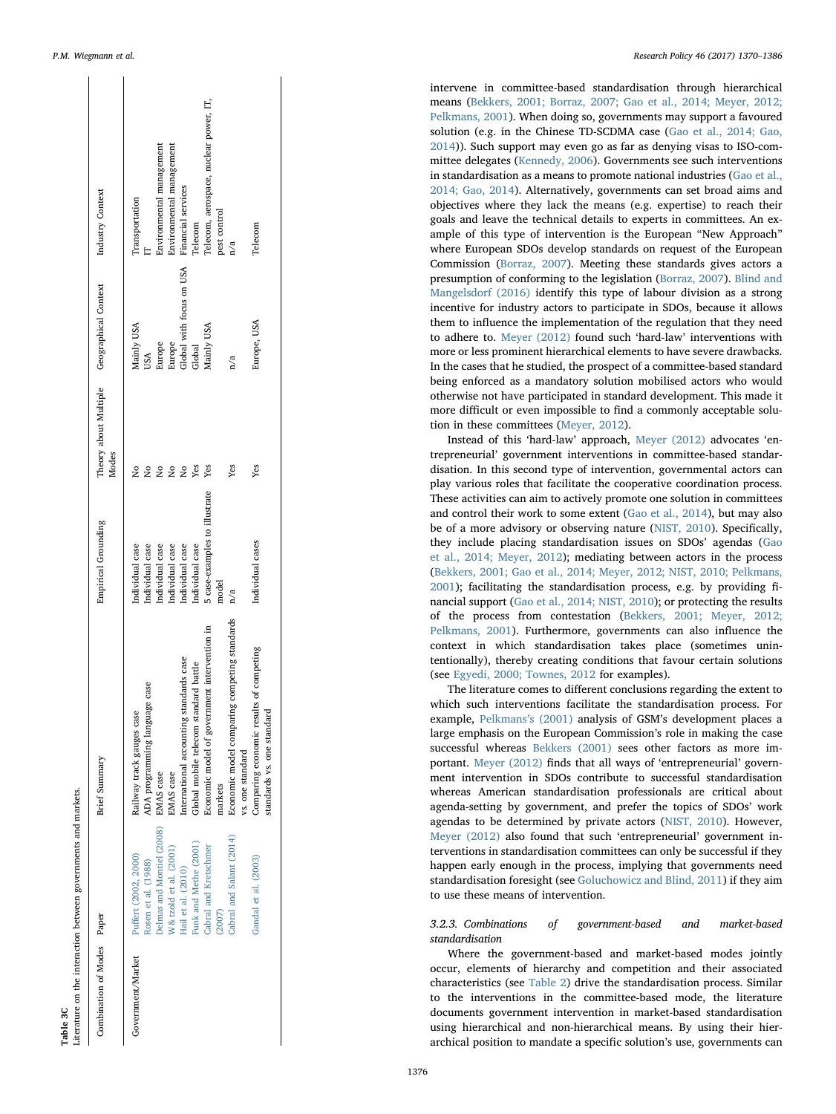<span id="page-6-0"></span>

|  | P.M. Wiegmann et al. |  |  |
|--|----------------------|--|--|
|--|----------------------|--|--|

| Combination of Modes Paper |                                                                                                                                                                                                                                           | Brief Summary                                                                                                                                                                                                                                                                                                                                                                    | Empirical Grounding                                                                                                                                                                 | Modes                         | Theory about Multiple Geographical Context                                                                      | Industry Context                                                                                                                                                                    |
|----------------------------|-------------------------------------------------------------------------------------------------------------------------------------------------------------------------------------------------------------------------------------------|----------------------------------------------------------------------------------------------------------------------------------------------------------------------------------------------------------------------------------------------------------------------------------------------------------------------------------------------------------------------------------|-------------------------------------------------------------------------------------------------------------------------------------------------------------------------------------|-------------------------------|-----------------------------------------------------------------------------------------------------------------|-------------------------------------------------------------------------------------------------------------------------------------------------------------------------------------|
| Government/Market          | Delmas and Montiel (2008)<br>Cabral and Salant (2014)<br>Funk and Methe (2001)<br>W & tzold et al. (2001)<br>Cabral and Kretschmer<br>Puffert (2002, 2000)<br>Gandal et al. (2003)<br>Rosen et al. (1988)<br>Hail et al. (2010)<br>(2007) | Economic model comparing competing standards<br>Economic model of government intervention in<br>Comparing economic results of competing<br>International accounting standards case<br>Global mobile telecom standard battle<br>ADA programming language case<br>standards vs. one standard<br>Railway track gauges case<br>vs. one standard<br>EMAS case<br>EMAS case<br>markets | 5 case-examples to illustrate<br>Individual cases<br>Individual case<br>Individual case<br>Individual case<br>Individual case<br>Individual case<br>Individual case<br>model<br>n/a | Yes<br>Yes<br>Yes<br>Yes<br>ş | Europe<br>Europe<br>Global with focus on USA<br>Europe, USA<br>Mainly USA<br>Mainly USA<br>Global<br>USA<br>n/a | Telecom, aerospace, nuclear power, IT,<br>Environmental management<br>Environmental management<br>Financial services<br>Transportation<br>pest control<br>Telecom<br>Telecom<br>n/a |
|                            |                                                                                                                                                                                                                                           |                                                                                                                                                                                                                                                                                                                                                                                  |                                                                                                                                                                                     |                               |                                                                                                                 |                                                                                                                                                                                     |

Table 3C<br>Literature on the interaction between governments and markets.

Table 3C

Literature on the interaction between governments and markets.

P.M. Wiegmann et al. *Research Policy 46 (2017) 1370–1386*

intervene in committee-based standardisation through hierarchical means [\(Bekkers, 2001; Borraz, 2007; Gao et al., 2014; Meyer, 2012;](#page-14-14) [Pelkmans, 2001\)](#page-14-14). When doing so, governments may support a favoured solution (e.g. in the Chinese TD-SCDMA case ([Gao et al., 2014; Gao,](#page-15-20) [2014\)](#page-15-20)). Such support may even go as far as denying visas to ISO-committee delegates ([Kennedy, 2006\)](#page-15-39). Governments see such interventions in standardisation as a means to promote national industries [\(Gao et al.,](#page-15-20) [2014; Gao, 2014\)](#page-15-20). Alternatively, governments can set broad aims and objectives where they lack the means (e.g. expertise) to reach their goals and leave the technical details to experts in committees. An example of this type of intervention is the European "New Approach" where European SDOs develop standards on request of the European Commission ([Borraz, 2007](#page-14-7)). Meeting these standards gives actors a presumption of conforming to the legislation [\(Borraz, 2007](#page-14-7)). [Blind and](#page-14-21) [Mangelsdorf \(2016\)](#page-14-21) identify this type of labour division as a strong incentive for industry actors to participate in SDOs, because it allows them to in fluence the implementation of the regulation that they need to adhere to. [Meyer \(2012\)](#page-16-14) found such 'hard-law ' interventions with more or less prominent hierarchical elements to have severe drawbacks. In the cases that he studied, the prospect of a committee-based standard being enforced as a mandatory solution mobilised actors who would otherwise not have participated in standard development. This made it more di fficult or even impossible to find a commonly acceptable solution in these committees ([Meyer, 2012\)](#page-16-14).

Instead of this 'hard-law ' approach, [Meyer \(2012\)](#page-16-14) advocates 'entrepreneurial' government interventions in committee-based standardisation. In this second type of intervention, governmental actors can play various roles that facilitate the cooperative coordination process. These activities can aim to actively promote one solution in committees and control their work to some extent [\(Gao et al., 2014](#page-15-20)), but may also be of a more advisory or observing nature [\(NIST, 2010\)](#page-16-30). Speci fically, they include placing standardisation issues on SDOs ' agendas ([Gao](#page-15-20) [et al., 2014; Meyer, 2012\)](#page-15-20); mediating between actors in the process ([Bekkers, 2001; Gao et al., 2014; Meyer, 2012; NIST, 2010; Pelkmans,](#page-14-14) [2001\)](#page-14-14); facilitating the standardisation process, e.g. by providing fi nancial support [\(Gao et al., 2014; NIST, 2010](#page-15-20)); or protecting the results of the process from contestation ([Bekkers, 2001; Meyer, 2012;](#page-14-14) [Pelkmans, 2001\)](#page-14-14). Furthermore, governments can also in fluence the context in which standardisation takes place (sometimes unintentionally), thereby creating conditions that favour certain solutions (see Egyedi, [2000; Townes, 2012](#page-15-21) for examples).

The literature comes to di fferent conclusions regarding the extent to which such interventions facilitate the standardisation process. For example, [Pelkmans](#page-16-29) 's (2001) analysis of GSM 's development places a large emphasis on the European Commission 's role in making the case successful whereas [Bekkers \(2001\)](#page-14-14) sees other factors as more important. [Meyer \(2012\)](#page-16-14) finds that all ways of 'entrepreneurial' government intervention in SDOs contribute to successful standardisation whereas American standardisation professionals are critical about agenda-setting by government, and prefer the topics of SDOs ' work agendas to be determined by private actors ([NIST, 2010\)](#page-16-30). However, [Meyer \(2012\)](#page-16-14) also found that such 'entrepreneurial ' government interventions in standardisation committees can only be successful if they happen early enough in the process, implying that governments need standardisation foresight (see [Goluchowicz and Blind, 2011](#page-15-40)) if they aim to use these means of intervention.

<span id="page-6-1"></span>3.2.3. Combinations of government-based and market-based standardisation

Where the government-based and market-based modes jointly occur, elements of hierarchy and competition and their associated characteristics (see [Table 2\)](#page-3-1) drive the standardisation process. Similar to the interventions in the committee-based mode, the literature documents government intervention in market-based standardisation using hierarchical and non-hierarchical means. By using their hierarchical position to mandate a speci fic solution 's use, governments can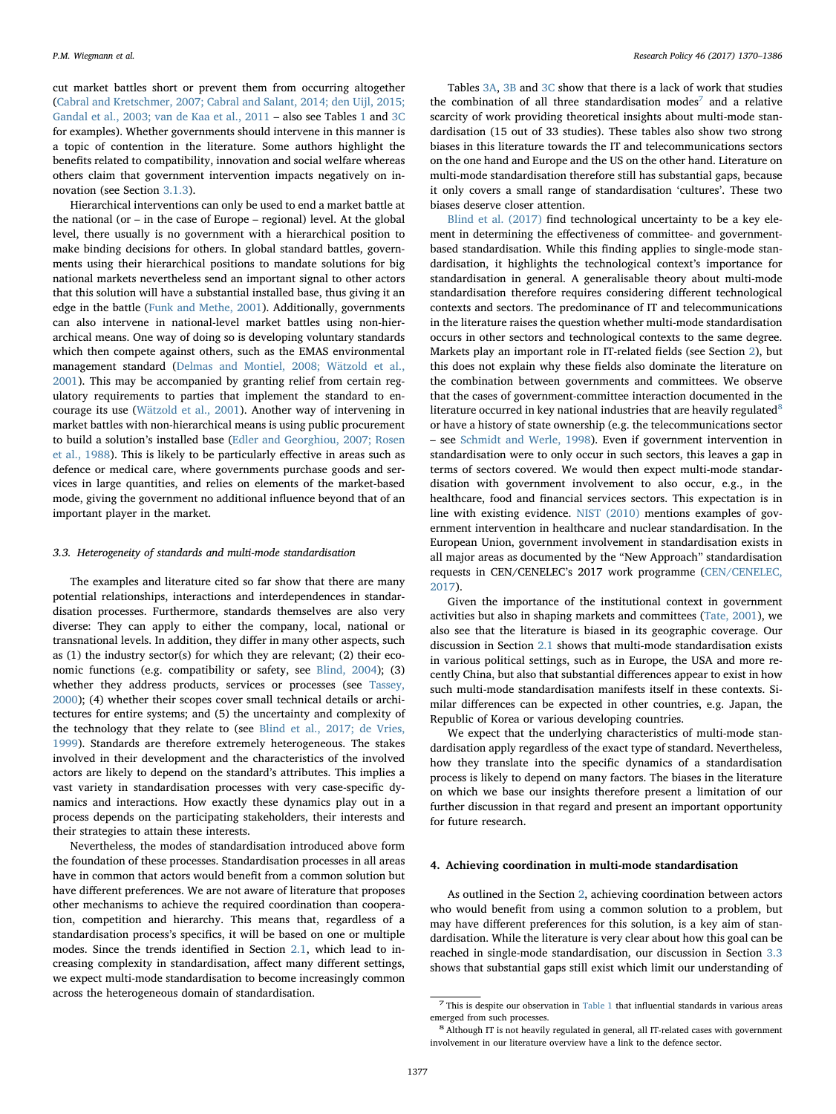cut market battles short or prevent them from occurring altogether ([Cabral and Kretschmer, 2007; Cabral and Salant, 2014; den Uijl, 2015;](#page-15-33) [Gandal et al., 2003; van de Kaa et al., 2011](#page-15-33) – also see Tables [1](#page-2-1) and [3C](#page-6-0) for examples). Whether governments should intervene in this manner is a topic of contention in the literature. Some authors highlight the benefits related to compatibility, innovation and social welfare whereas others claim that government intervention impacts negatively on innovation (see Section [3.1.3](#page-4-1)).

Hierarchical interventions can only be used to end a market battle at the national (or – in the case of Europe – regional) level. At the global level, there usually is no government with a hierarchical position to make binding decisions for others. In global standard battles, governments using their hierarchical positions to mandate solutions for big national markets nevertheless send an important signal to other actors that this solution will have a substantial installed base, thus giving it an edge in the battle ([Funk and Methe, 2001\)](#page-15-18). Additionally, governments can also intervene in national-level market battles using non-hierarchical means. One way of doing so is developing voluntary standards which then compete against others, such as the EMAS environmental management standard ([Delmas and Montiel, 2008; Wätzold et al.,](#page-15-24) [2001\)](#page-15-24). This may be accompanied by granting relief from certain regulatory requirements to parties that implement the standard to encourage its use [\(Wätzold et al., 2001\)](#page-16-31). Another way of intervening in market battles with non-hierarchical means is using public procurement to build a solution's installed base ([Edler and Georghiou, 2007; Rosen](#page-15-43) [et al., 1988\)](#page-15-43). This is likely to be particularly effective in areas such as defence or medical care, where governments purchase goods and services in large quantities, and relies on elements of the market-based mode, giving the government no additional influence beyond that of an important player in the market.

# <span id="page-7-1"></span>3.3. Heterogeneity of standards and multi-mode standardisation

The examples and literature cited so far show that there are many potential relationships, interactions and interdependences in standardisation processes. Furthermore, standards themselves are also very diverse: They can apply to either the company, local, national or transnational levels. In addition, they differ in many other aspects, such as (1) the industry sector(s) for which they are relevant; (2) their economic functions (e.g. compatibility or safety, see [Blind, 2004\)](#page-14-18); (3) whether they address products, services or processes (see [Tassey,](#page-16-32) [2000\)](#page-16-32); (4) whether their scopes cover small technical details or architectures for entire systems; and (5) the uncertainty and complexity of the technology that they relate to (see [Blind et al., 2017; de Vries,](#page-14-20) [1999\)](#page-14-20). Standards are therefore extremely heterogeneous. The stakes involved in their development and the characteristics of the involved actors are likely to depend on the standard's attributes. This implies a vast variety in standardisation processes with very case-specific dynamics and interactions. How exactly these dynamics play out in a process depends on the participating stakeholders, their interests and their strategies to attain these interests.

Nevertheless, the modes of standardisation introduced above form the foundation of these processes. Standardisation processes in all areas have in common that actors would benefit from a common solution but have different preferences. We are not aware of literature that proposes other mechanisms to achieve the required coordination than cooperation, competition and hierarchy. This means that, regardless of a standardisation process's specifics, it will be based on one or multiple modes. Since the trends identified in Section [2.1](#page-1-0), which lead to increasing complexity in standardisation, affect many different settings, we expect multi-mode standardisation to become increasingly common across the heterogeneous domain of standardisation.

Tables [3A](#page-5-0), [3B](#page-5-1) and [3C](#page-6-0) show that there is a lack of work that studies the combination of all three standardisation modes<sup>[7](#page-7-2)</sup> and a relative scarcity of work providing theoretical insights about multi-mode standardisation (15 out of 33 studies). These tables also show two strong biases in this literature towards the IT and telecommunications sectors on the one hand and Europe and the US on the other hand. Literature on multi-mode standardisation therefore still has substantial gaps, because it only covers a small range of standardisation 'cultures'. These two biases deserve closer attention.

[Blind et al. \(2017\)](#page-14-20) find technological uncertainty to be a key element in determining the effectiveness of committee- and governmentbased standardisation. While this finding applies to single-mode standardisation, it highlights the technological context's importance for standardisation in general. A generalisable theory about multi-mode standardisation therefore requires considering different technological contexts and sectors. The predominance of IT and telecommunications in the literature raises the question whether multi-mode standardisation occurs in other sectors and technological contexts to the same degree. Markets play an important role in IT-related fields (see Section [2](#page-1-1)), but this does not explain why these fields also dominate the literature on the combination between governments and committees. We observe that the cases of government-committee interaction documented in the literature occurred in key national industries that are heavily regulated $8$ or have a history of state ownership (e.g. the telecommunications sector – see [Schmidt and Werle, 1998](#page-16-23)). Even if government intervention in standardisation were to only occur in such sectors, this leaves a gap in terms of sectors covered. We would then expect multi-mode standardisation with government involvement to also occur, e.g., in the healthcare, food and financial services sectors. This expectation is in line with existing evidence. [NIST \(2010\)](#page-16-30) mentions examples of government intervention in healthcare and nuclear standardisation. In the European Union, government involvement in standardisation exists in all major areas as documented by the "New Approach" standardisation requests in CEN/CENELEC's 2017 work programme [\(CEN/CENELEC,](#page-14-22) [2017\)](#page-14-22).

Given the importance of the institutional context in government activities but also in shaping markets and committees ([Tate, 2001\)](#page-16-20), we also see that the literature is biased in its geographic coverage. Our discussion in Section [2.1](#page-1-0) shows that multi-mode standardisation exists in various political settings, such as in Europe, the USA and more recently China, but also that substantial differences appear to exist in how such multi-mode standardisation manifests itself in these contexts. Similar differences can be expected in other countries, e.g. Japan, the Republic of Korea or various developing countries.

We expect that the underlying characteristics of multi-mode standardisation apply regardless of the exact type of standard. Nevertheless, how they translate into the specific dynamics of a standardisation process is likely to depend on many factors. The biases in the literature on which we base our insights therefore present a limitation of our further discussion in that regard and present an important opportunity for future research.

#### <span id="page-7-0"></span>4. Achieving coordination in multi-mode standardisation

As outlined in the Section [2,](#page-1-1) achieving coordination between actors who would benefit from using a common solution to a problem, but may have different preferences for this solution, is a key aim of standardisation. While the literature is very clear about how this goal can be reached in single-mode standardisation, our discussion in Section [3.3](#page-7-1) shows that substantial gaps still exist which limit our understanding of

<span id="page-7-2"></span> $7$  This is despite our observation in [Table 1](#page-2-1) that influential standards in various areas

<span id="page-7-3"></span>emerged from such processes.  $^\mathrm{8}$  Although IT is not heavily regulated in general, all IT-related cases with government involvement in our literature overview have a link to the defence sector.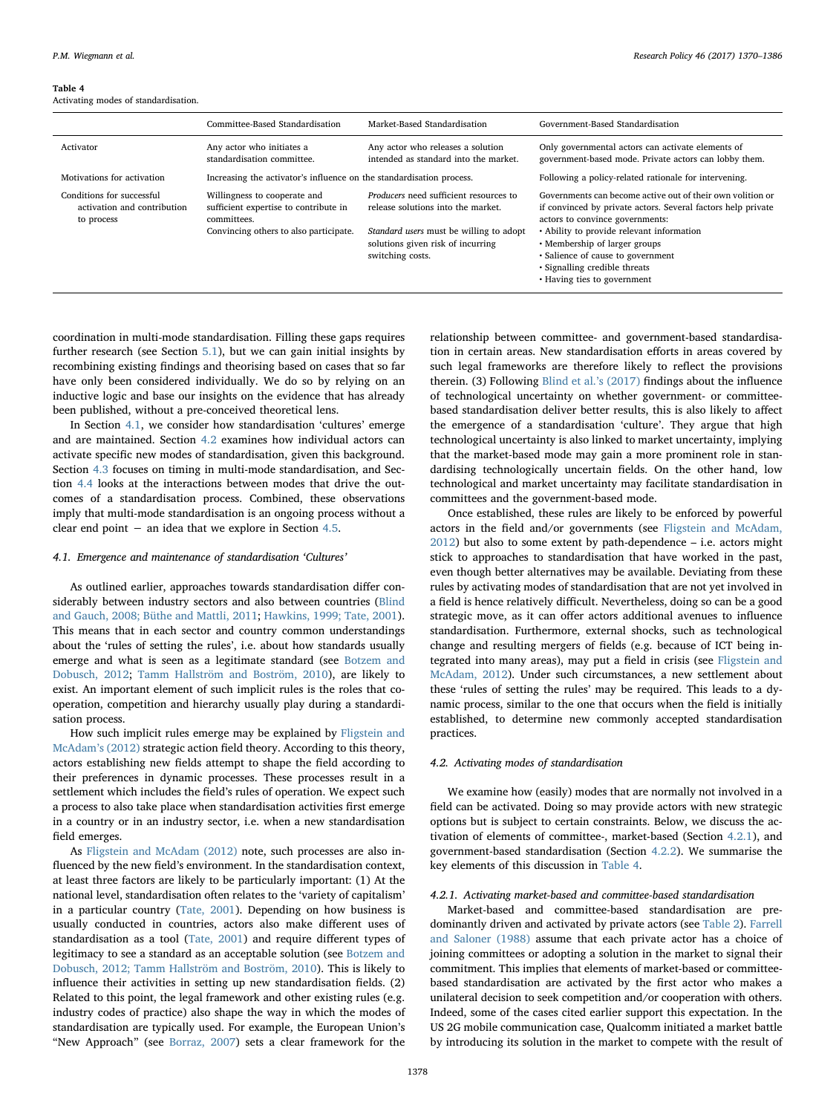#### <span id="page-8-3"></span>Table 4

Activating modes of standardisation.

|                                                                        | Committee-Based Standardisation                                                                                                | Market-Based Standardisation                                                                                                                                                     | Government-Based Standardisation                                                                                                                                                                                                                                                                                                                 |
|------------------------------------------------------------------------|--------------------------------------------------------------------------------------------------------------------------------|----------------------------------------------------------------------------------------------------------------------------------------------------------------------------------|--------------------------------------------------------------------------------------------------------------------------------------------------------------------------------------------------------------------------------------------------------------------------------------------------------------------------------------------------|
| Activator                                                              | Any actor who initiates a<br>standardisation committee.                                                                        | Any actor who releases a solution<br>intended as standard into the market.                                                                                                       | Only governmental actors can activate elements of<br>government-based mode. Private actors can lobby them.                                                                                                                                                                                                                                       |
| Motivations for activation                                             | Increasing the activator's influence on the standardisation process.                                                           |                                                                                                                                                                                  | Following a policy-related rationale for intervening.                                                                                                                                                                                                                                                                                            |
| Conditions for successful<br>activation and contribution<br>to process | Willingness to cooperate and<br>sufficient expertise to contribute in<br>committees.<br>Convincing others to also participate. | Producers need sufficient resources to<br>release solutions into the market.<br>Standard users must be willing to adopt<br>solutions given risk of incurring<br>switching costs. | Governments can become active out of their own volition or<br>if convinced by private actors. Several factors help private<br>actors to convince governments:<br>• Ability to provide relevant information<br>• Membership of larger groups<br>• Salience of cause to government<br>• Signalling credible threats<br>• Having ties to government |

coordination in multi-mode standardisation. Filling these gaps requires further research (see Section [5.1](#page-12-0)), but we can gain initial insights by recombining existing findings and theorising based on cases that so far have only been considered individually. We do so by relying on an inductive logic and base our insights on the evidence that has already been published, without a pre-conceived theoretical lens.

In Section [4.1](#page-8-0), we consider how standardisation 'cultures' emerge and are maintained. Section [4.2](#page-8-1) examines how individual actors can activate specific new modes of standardisation, given this background. Section [4.3](#page-9-0) focuses on timing in multi-mode standardisation, and Section [4.4](#page-9-1) looks at the interactions between modes that drive the outcomes of a standardisation process. Combined, these observations imply that multi-mode standardisation is an ongoing process without a clear end point − an idea that we explore in Section [4.5](#page-11-0).

#### <span id="page-8-0"></span>4.1. Emergence and maintenance of standardisation 'Cultures'

As outlined earlier, approaches towards standardisation differ considerably between industry sectors and also between countries [\(Blind](#page-14-5) [and Gauch, 2008; Büthe and Mattli, 2011;](#page-14-5) [Hawkins, 1999; Tate, 2001](#page-15-44)). This means that in each sector and country common understandings about the 'rules of setting the rules', i.e. about how standards usually emerge and what is seen as a legitimate standard (see [Botzem and](#page-14-10) [Dobusch, 2012](#page-14-10); [Tamm Hallström and Boström, 2010\)](#page-16-22), are likely to exist. An important element of such implicit rules is the roles that cooperation, competition and hierarchy usually play during a standardisation process.

How such implicit rules emerge may be explained by [Fligstein and](#page-15-45) [McAdam](#page-15-45)'s (2012) strategic action field theory. According to this theory, actors establishing new fields attempt to shape the field according to their preferences in dynamic processes. These processes result in a settlement which includes the field's rules of operation. We expect such a process to also take place when standardisation activities first emerge in a country or in an industry sector, i.e. when a new standardisation field emerges.

As [Fligstein and McAdam \(2012\)](#page-15-45) note, such processes are also influenced by the new field's environment. In the standardisation context, at least three factors are likely to be particularly important: (1) At the national level, standardisation often relates to the 'variety of capitalism' in a particular country [\(Tate, 2001\)](#page-16-20). Depending on how business is usually conducted in countries, actors also make different uses of standardisation as a tool [\(Tate, 2001\)](#page-16-20) and require different types of legitimacy to see a standard as an acceptable solution (see [Botzem and](#page-14-10) [Dobusch, 2012; Tamm Hallström and Boström, 2010\)](#page-14-10). This is likely to influence their activities in setting up new standardisation fields. (2) Related to this point, the legal framework and other existing rules (e.g. industry codes of practice) also shape the way in which the modes of standardisation are typically used. For example, the European Union's "New Approach" (see [Borraz, 2007\)](#page-14-7) sets a clear framework for the

relationship between committee- and government-based standardisation in certain areas. New standardisation efforts in areas covered by such legal frameworks are therefore likely to reflect the provisions therein. (3) Following [Blind et al.](#page-14-20)'s (2017) findings about the influence of technological uncertainty on whether government- or committeebased standardisation deliver better results, this is also likely to affect the emergence of a standardisation 'culture'. They argue that high technological uncertainty is also linked to market uncertainty, implying that the market-based mode may gain a more prominent role in standardising technologically uncertain fields. On the other hand, low technological and market uncertainty may facilitate standardisation in committees and the government-based mode.

Once established, these rules are likely to be enforced by powerful actors in the field and/or governments (see [Fligstein and McAdam,](#page-15-45) [2012\)](#page-15-45) but also to some extent by path-dependence – i.e. actors might stick to approaches to standardisation that have worked in the past, even though better alternatives may be available. Deviating from these rules by activating modes of standardisation that are not yet involved in a field is hence relatively difficult. Nevertheless, doing so can be a good strategic move, as it can offer actors additional avenues to influence standardisation. Furthermore, external shocks, such as technological change and resulting mergers of fields (e.g. because of ICT being integrated into many areas), may put a field in crisis (see [Fligstein and](#page-15-45) [McAdam, 2012\)](#page-15-45). Under such circumstances, a new settlement about these 'rules of setting the rules' may be required. This leads to a dynamic process, similar to the one that occurs when the field is initially established, to determine new commonly accepted standardisation practices.

#### <span id="page-8-1"></span>4.2. Activating modes of standardisation

We examine how (easily) modes that are normally not involved in a field can be activated. Doing so may provide actors with new strategic options but is subject to certain constraints. Below, we discuss the activation of elements of committee-, market-based (Section [4.2.1](#page-8-2)), and government-based standardisation (Section [4.2.2](#page-9-2)). We summarise the key elements of this discussion in [Table 4.](#page-8-3)

### <span id="page-8-2"></span>4.2.1. Activating market-based and committee-based standardisation

Market-based and committee-based standardisation are predominantly driven and activated by private actors (see [Table 2](#page-3-1)). [Farrell](#page-15-4) [and Saloner \(1988\)](#page-15-4) assume that each private actor has a choice of joining committees or adopting a solution in the market to signal their commitment. This implies that elements of market-based or committeebased standardisation are activated by the first actor who makes a unilateral decision to seek competition and/or cooperation with others. Indeed, some of the cases cited earlier support this expectation. In the US 2G mobile communication case, Qualcomm initiated a market battle by introducing its solution in the market to compete with the result of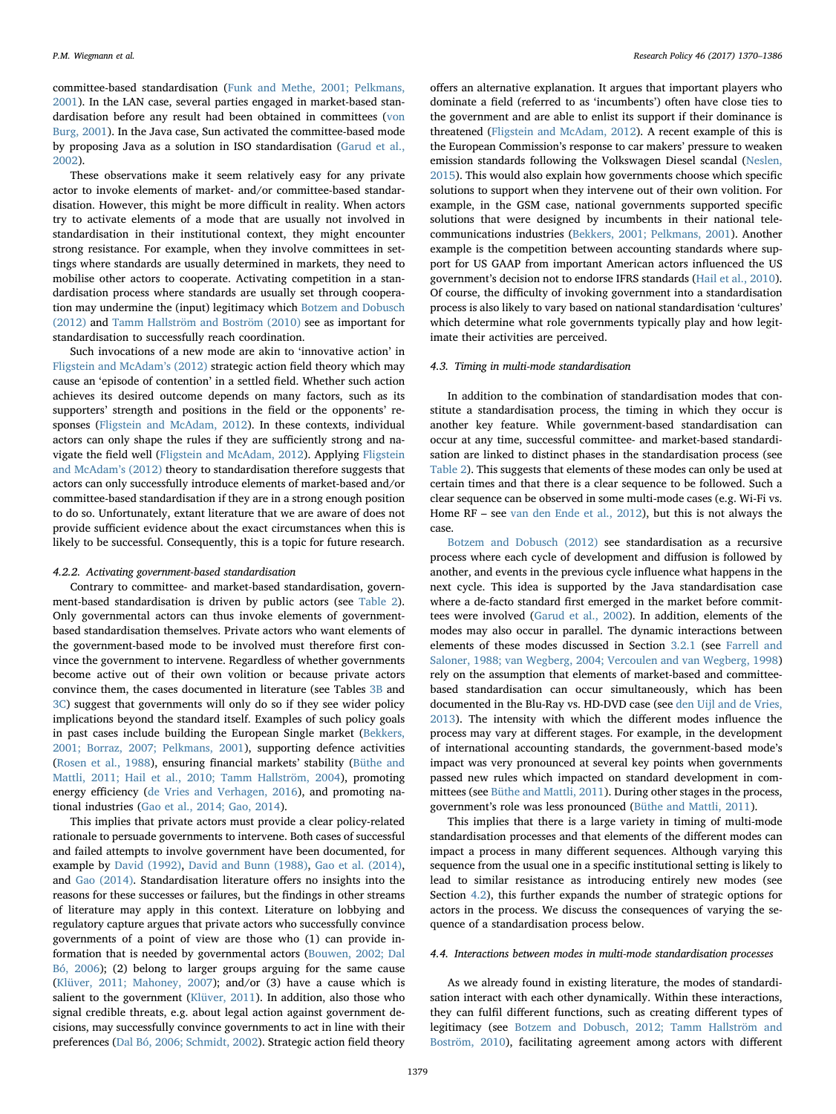committee-based standardisation [\(Funk and Methe, 2001; Pelkmans,](#page-15-18) [2001\)](#page-15-18). In the LAN case, several parties engaged in market-based standardisation before any result had been obtained in committees ([von](#page-16-9) [Burg, 2001\)](#page-16-9). In the Java case, Sun activated the committee-based mode by proposing Java as a solution in ISO standardisation ([Garud et al.,](#page-15-36) [2002\)](#page-15-36).

These observations make it seem relatively easy for any private actor to invoke elements of market- and/or committee-based standardisation. However, this might be more difficult in reality. When actors try to activate elements of a mode that are usually not involved in standardisation in their institutional context, they might encounter strong resistance. For example, when they involve committees in settings where standards are usually determined in markets, they need to mobilise other actors to cooperate. Activating competition in a standardisation process where standards are usually set through cooperation may undermine the (input) legitimacy which [Botzem and Dobusch](#page-14-10) [\(2012\)](#page-14-10) and [Tamm Hallström and Boström \(2010\)](#page-16-22) see as important for standardisation to successfully reach coordination.

Such invocations of a new mode are akin to 'innovative action' in [Fligstein and McAdam](#page-15-45)'s (2012) strategic action field theory which may cause an 'episode of contention' in a settled field. Whether such action achieves its desired outcome depends on many factors, such as its supporters' strength and positions in the field or the opponents' responses ([Fligstein and McAdam, 2012](#page-15-45)). In these contexts, individual actors can only shape the rules if they are sufficiently strong and navigate the field well [\(Fligstein and McAdam, 2012](#page-15-45)). Applying [Fligstein](#page-15-45) [and McAdam](#page-15-45)'s (2012) theory to standardisation therefore suggests that actors can only successfully introduce elements of market-based and/or committee-based standardisation if they are in a strong enough position to do so. Unfortunately, extant literature that we are aware of does not provide sufficient evidence about the exact circumstances when this is likely to be successful. Consequently, this is a topic for future research.

#### <span id="page-9-2"></span>4.2.2. Activating government-based standardisation

Contrary to committee- and market-based standardisation, government-based standardisation is driven by public actors (see [Table 2](#page-3-1)). Only governmental actors can thus invoke elements of governmentbased standardisation themselves. Private actors who want elements of the government-based mode to be involved must therefore first convince the government to intervene. Regardless of whether governments become active out of their own volition or because private actors convince them, the cases documented in literature (see Tables [3B](#page-5-1) and [3C](#page-6-0)) suggest that governments will only do so if they see wider policy implications beyond the standard itself. Examples of such policy goals in past cases include building the European Single market [\(Bekkers,](#page-14-14) [2001; Borraz, 2007; Pelkmans, 2001](#page-14-14)), supporting defence activities (Rosen [et al., 1988](#page-16-7)), ensuring financial markets' stability ([Büthe and](#page-14-6) [Mattli, 2011; Hail et al., 2010; Tamm Hallström, 2004\)](#page-14-6), promoting energy efficiency [\(de Vries and Verhagen, 2016](#page-15-23)), and promoting national industries ([Gao et al., 2014; Gao, 2014\)](#page-15-20).

This implies that private actors must provide a clear policy-related rationale to persuade governments to intervene. Both cases of successful and failed attempts to involve government have been documented, for example by [David \(1992\)](#page-15-14), [David and Bunn \(1988\)](#page-15-46), [Gao et al. \(2014\)](#page-15-20), and [Gao \(2014\).](#page-15-2) Standardisation literature offers no insights into the reasons for these successes or failures, but the findings in other streams of literature may apply in this context. Literature on lobbying and regulatory capture argues that private actors who successfully convince governments of a point of view are those who (1) can provide information that is needed by governmental actors ([Bouwen, 2002; Dal](#page-14-11) [Bó, 2006](#page-14-11)); (2) belong to larger groups arguing for the same cause ([Klüver, 2011; Mahoney, 2007\)](#page-15-34); and/or (3) have a cause which is salient to the government ([Klüver, 2011](#page-15-34)). In addition, also those who signal credible threats, e.g. about legal action against government decisions, may successfully convince governments to act in line with their preferences ([Dal Bó, 2006; Schmidt, 2002\)](#page-15-35). Strategic action field theory

offers an alternative explanation. It argues that important players who dominate a field (referred to as 'incumbents') often have close ties to the government and are able to enlist its support if their dominance is threatened [\(Fligstein and McAdam, 2012](#page-15-45)). A recent example of this is the European Commission's response to car makers' pressure to weaken emission standards following the Volkswagen Diesel scandal ([Neslen,](#page-16-33) [2015\)](#page-16-33). This would also explain how governments choose which specific solutions to support when they intervene out of their own volition. For example, in the GSM case, national governments supported specific solutions that were designed by incumbents in their national telecommunications industries [\(Bekkers, 2001; Pelkmans, 2001\)](#page-14-14). Another example is the competition between accounting standards where support for US GAAP from important American actors influenced the US government's decision not to endorse IFRS standards [\(Hail et al., 2010](#page-15-26)). Of course, the difficulty of invoking government into a standardisation process is also likely to vary based on national standardisation 'cultures' which determine what role governments typically play and how legitimate their activities are perceived.

#### <span id="page-9-0"></span>4.3. Timing in multi-mode standardisation

In addition to the combination of standardisation modes that constitute a standardisation process, the timing in which they occur is another key feature. While government-based standardisation can occur at any time, successful committee- and market-based standardisation are linked to distinct phases in the standardisation process (see [Table 2\)](#page-3-1). This suggests that elements of these modes can only be used at certain times and that there is a clear sequence to be followed. Such a clear sequence can be observed in some multi-mode cases (e.g. Wi-Fi vs. Home RF – see [van den Ende et al., 2012\)](#page-16-11), but this is not always the case.

[Botzem and Dobusch \(2012\)](#page-14-10) see standardisation as a recursive process where each cycle of development and diffusion is followed by another, and events in the previous cycle influence what happens in the next cycle. This idea is supported by the Java standardisation case where a de-facto standard first emerged in the market before committees were involved ([Garud et al., 2002\)](#page-15-36). In addition, elements of the modes may also occur in parallel. The dynamic interactions between elements of these modes discussed in Section [3.2.1](#page-4-6) (see [Farrell and](#page-15-4) [Saloner, 1988; van Wegberg, 2004; Vercoulen and van Wegberg, 1998\)](#page-15-4) rely on the assumption that elements of market-based and committeebased standardisation can occur simultaneously, which has been documented in the Blu-Ray vs. HD-DVD case (see [den Uijl and de Vries,](#page-15-19) [2013\)](#page-15-19). The intensity with which the different modes influence the process may vary at different stages. For example, in the development of international accounting standards, the government-based mode's impact was very pronounced at several key points when governments passed new rules which impacted on standard development in committees (see [Büthe and Mattli, 2011\)](#page-14-6). During other stages in the process, government's role was less pronounced ([Büthe and Mattli, 2011\)](#page-14-6).

This implies that there is a large variety in timing of multi-mode standardisation processes and that elements of the different modes can impact a process in many different sequences. Although varying this sequence from the usual one in a specific institutional setting is likely to lead to similar resistance as introducing entirely new modes (see Section [4.2\)](#page-8-1), this further expands the number of strategic options for actors in the process. We discuss the consequences of varying the sequence of a standardisation process below.

# <span id="page-9-1"></span>4.4. Interactions between modes in multi-mode standardisation processes

As we already found in existing literature, the modes of standardisation interact with each other dynamically. Within these interactions, they can fulfil different functions, such as creating different types of legitimacy (see [Botzem and Dobusch, 2012; Tamm Hallström and](#page-14-10) [Boström, 2010](#page-14-10)), facilitating agreement among actors with different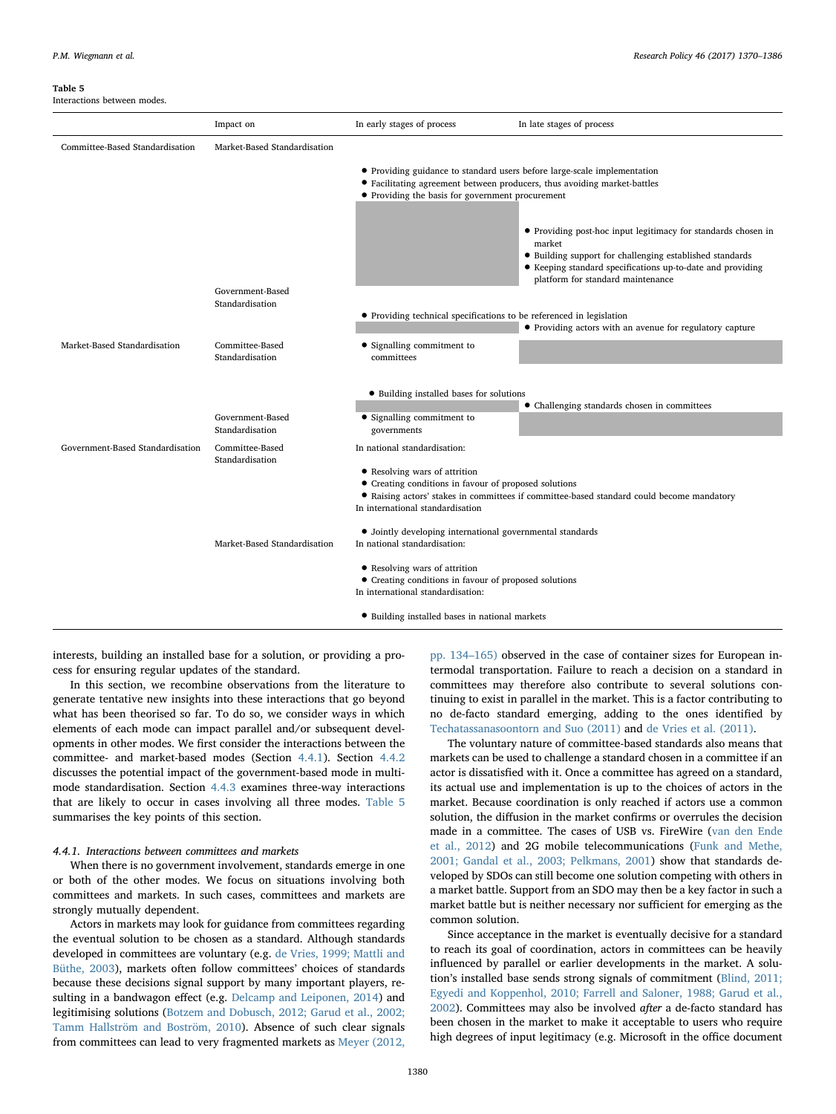#### <span id="page-10-1"></span>Table 5

Interactions between modes.

|                                  | Impact on                           | In early stages of process                                                                                                                                                                               | In late stages of process                                                                                                                                                                                                              |
|----------------------------------|-------------------------------------|----------------------------------------------------------------------------------------------------------------------------------------------------------------------------------------------------------|----------------------------------------------------------------------------------------------------------------------------------------------------------------------------------------------------------------------------------------|
| Committee-Based Standardisation  | Market-Based Standardisation        |                                                                                                                                                                                                          |                                                                                                                                                                                                                                        |
|                                  |                                     | • Providing guidance to standard users before large-scale implementation<br>• Facilitating agreement between producers, thus avoiding market-battles<br>• Providing the basis for government procurement |                                                                                                                                                                                                                                        |
|                                  |                                     |                                                                                                                                                                                                          | • Providing post-hoc input legitimacy for standards chosen in<br>market<br>• Building support for challenging established standards<br>• Keeping standard specifications up-to-date and providing<br>platform for standard maintenance |
|                                  | Government-Based<br>Standardisation |                                                                                                                                                                                                          |                                                                                                                                                                                                                                        |
|                                  |                                     | • Providing technical specifications to be referenced in legislation                                                                                                                                     | • Providing actors with an avenue for regulatory capture                                                                                                                                                                               |
| Market-Based Standardisation     | Committee-Based<br>Standardisation  | • Signalling commitment to<br>committees                                                                                                                                                                 |                                                                                                                                                                                                                                        |
|                                  |                                     | • Building installed bases for solutions                                                                                                                                                                 | • Challenging standards chosen in committees                                                                                                                                                                                           |
|                                  | Government-Based<br>Standardisation | • Signalling commitment to<br>governments                                                                                                                                                                |                                                                                                                                                                                                                                        |
| Government-Based Standardisation | Committee-Based                     | In national standardisation:                                                                                                                                                                             |                                                                                                                                                                                                                                        |
|                                  | Standardisation                     | • Resolving wars of attrition<br>• Creating conditions in favour of proposed solutions<br>In international standardisation                                                                               | • Raising actors' stakes in committees if committee-based standard could become mandatory                                                                                                                                              |
|                                  | Market-Based Standardisation        | • Jointly developing international governmental standards<br>In national standardisation:                                                                                                                |                                                                                                                                                                                                                                        |
|                                  |                                     | • Resolving wars of attrition<br>• Creating conditions in favour of proposed solutions<br>In international standardisation:                                                                              |                                                                                                                                                                                                                                        |
|                                  |                                     | • Building installed bases in national markets                                                                                                                                                           |                                                                                                                                                                                                                                        |

interests, building an installed base for a solution, or providing a process for ensuring regular updates of the standard.

In this section, we recombine observations from the literature to generate tentative new insights into these interactions that go beyond what has been theorised so far. To do so, we consider ways in which elements of each mode can impact parallel and/or subsequent developments in other modes. We first consider the interactions between the committee- and market-based modes (Section [4.4.1](#page-10-0)). Section [4.4.2](#page-11-1) discusses the potential impact of the government-based mode in multimode standardisation. Section [4.4.3](#page-11-2) examines three-way interactions that are likely to occur in cases involving all three modes. [Table 5](#page-10-1) summarises the key points of this section.

# <span id="page-10-0"></span>4.4.1. Interactions between committees and markets

When there is no government involvement, standards emerge in one or both of the other modes. We focus on situations involving both committees and markets. In such cases, committees and markets are strongly mutually dependent.

Actors in markets may look for guidance from committees regarding the eventual solution to be chosen as a standard. Although standards developed in committees are voluntary (e.g. [de Vries, 1999; Mattli and](#page-15-28) [Büthe, 2003\)](#page-15-28), markets often follow committees' choices of standards because these decisions signal support by many important players, resulting in a bandwagon effect (e.g. [Delcamp and Leiponen, 2014\)](#page-15-47) and legitimising solutions ([Botzem and Dobusch, 2012; Garud et al., 2002;](#page-14-10) [Tamm Hallström and Boström, 2010](#page-14-10)). Absence of such clear signals from committees can lead to very fragmented markets as [Meyer \(2012,](#page-16-14)

[pp. 134](#page-16-14)–165) observed in the case of container sizes for European intermodal transportation. Failure to reach a decision on a standard in committees may therefore also contribute to several solutions continuing to exist in parallel in the market. This is a factor contributing to no de-facto standard emerging, adding to the ones identified by [Techatassanasoontorn and Suo \(2011\)](#page-16-34) and [de Vries et al. \(2011\).](#page-15-31)

The voluntary nature of committee-based standards also means that markets can be used to challenge a standard chosen in a committee if an actor is dissatisfied with it. Once a committee has agreed on a standard, its actual use and implementation is up to the choices of actors in the market. Because coordination is only reached if actors use a common solution, the diffusion in the market confirms or overrules the decision made in a committee. The cases of USB vs. FireWire [\(van den Ende](#page-16-11) [et al., 2012](#page-16-11)) and 2G mobile telecommunications ([Funk and Methe,](#page-15-18) [2001; Gandal et al., 2003; Pelkmans, 2001\)](#page-15-18) show that standards developed by SDOs can still become one solution competing with others in a market battle. Support from an SDO may then be a key factor in such a market battle but is neither necessary nor sufficient for emerging as the common solution.

Since acceptance in the market is eventually decisive for a standard to reach its goal of coordination, actors in committees can be heavily influenced by parallel or earlier developments in the market. A solution's installed base sends strong signals of commitment ([Blind, 2011;](#page-14-12) [Egyedi and Koppenhol, 2010; Farrell and Saloner, 1988; Garud et al.,](#page-14-12) [2002\)](#page-14-12). Committees may also be involved after a de-facto standard has been chosen in the market to make it acceptable to users who require high degrees of input legitimacy (e.g. Microsoft in the office document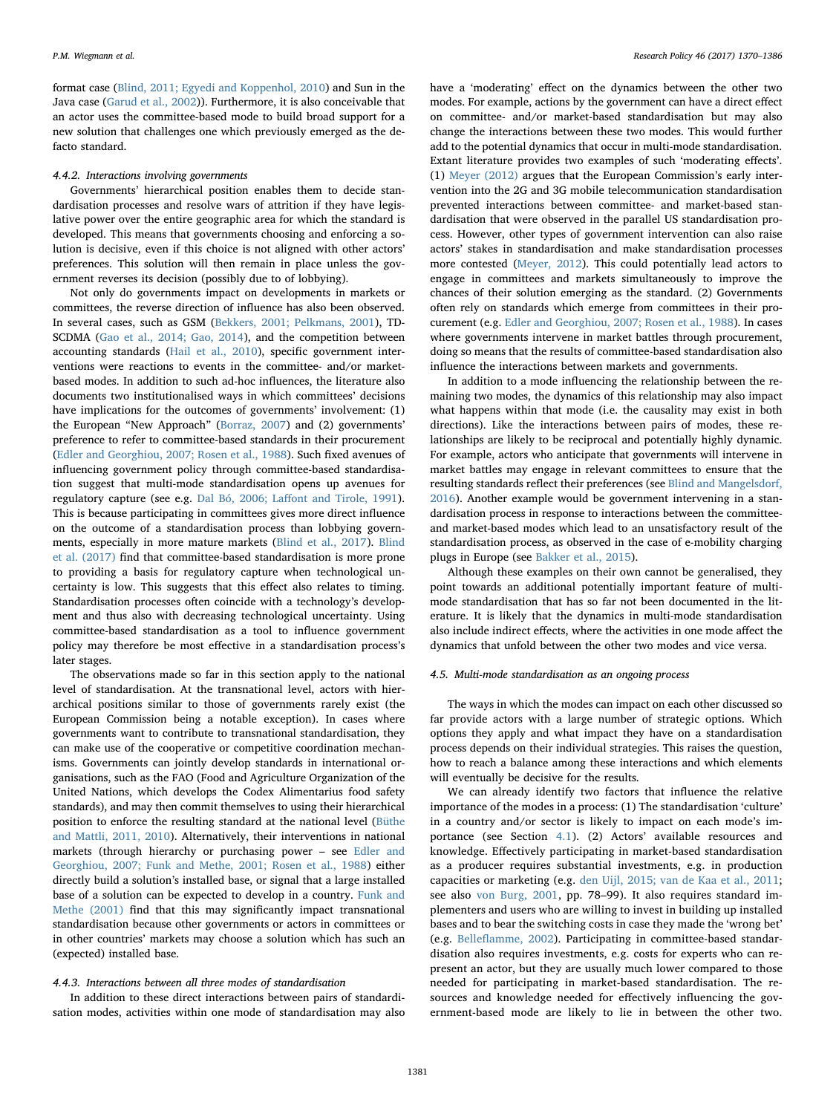format case ([Blind, 2011; Egyedi and Koppenhol, 2010\)](#page-14-12) and Sun in the Java case [\(Garud et al., 2002](#page-15-36))). Furthermore, it is also conceivable that an actor uses the committee-based mode to build broad support for a new solution that challenges one which previously emerged as the defacto standard.

#### <span id="page-11-1"></span>4.4.2. Interactions involving governments

Governments' hierarchical position enables them to decide standardisation processes and resolve wars of attrition if they have legislative power over the entire geographic area for which the standard is developed. This means that governments choosing and enforcing a solution is decisive, even if this choice is not aligned with other actors' preferences. This solution will then remain in place unless the government reverses its decision (possibly due to of lobbying).

Not only do governments impact on developments in markets or committees, the reverse direction of influence has also been observed. In several cases, such as GSM [\(Bekkers, 2001; Pelkmans, 2001](#page-14-14)), TD-SCDMA [\(Gao et al., 2014; Gao, 2014\)](#page-15-20), and the competition between accounting standards [\(Hail et al., 2010\)](#page-15-26), specific government interventions were reactions to events in the committee- and/or marketbased modes. In addition to such ad-hoc influences, the literature also documents two institutionalised ways in which committees' decisions have implications for the outcomes of governments' involvement: (1) the European "New Approach" [\(Borraz, 2007\)](#page-14-7) and (2) governments' preference to refer to committee-based standards in their procurement ([Edler and Georghiou, 2007; Rosen et al., 1988](#page-15-43)). Such fixed avenues of influencing government policy through committee-based standardisation suggest that multi-mode standardisation opens up avenues for regulatory capture (see e.g. Dal Bó, 2006; Laff[ont and Tirole, 1991](#page-15-35)). This is because participating in committees gives more direct influence on the outcome of a standardisation process than lobbying governments, especially in more mature markets [\(Blind et al., 2017](#page-14-20)). [Blind](#page-14-20) [et al. \(2017\)](#page-14-20) find that committee-based standardisation is more prone to providing a basis for regulatory capture when technological uncertainty is low. This suggests that this effect also relates to timing. Standardisation processes often coincide with a technology's development and thus also with decreasing technological uncertainty. Using committee-based standardisation as a tool to influence government policy may therefore be most effective in a standardisation process's later stages.

The observations made so far in this section apply to the national level of standardisation. At the transnational level, actors with hierarchical positions similar to those of governments rarely exist (the European Commission being a notable exception). In cases where governments want to contribute to transnational standardisation, they can make use of the cooperative or competitive coordination mechanisms. Governments can jointly develop standards in international organisations, such as the FAO (Food and Agriculture Organization of the United Nations, which develops the Codex Alimentarius food safety standards), and may then commit themselves to using their hierarchical position to enforce the resulting standard at the national level [\(Büthe](#page-14-6) [and Mattli, 2011, 2010](#page-14-6)). Alternatively, their interventions in national markets (through hierarchy or purchasing power – see [Edler and](#page-15-43) [Georghiou, 2007; Funk and Methe, 2001; Rosen et al., 1988](#page-15-43)) either directly build a solution's installed base, or signal that a large installed base of a solution can be expected to develop in a country. [Funk and](#page-15-18) [Methe \(2001\)](#page-15-18) find that this may significantly impact transnational standardisation because other governments or actors in committees or in other countries' markets may choose a solution which has such an (expected) installed base.

#### <span id="page-11-2"></span>4.4.3. Interactions between all three modes of standardisation

In addition to these direct interactions between pairs of standardisation modes, activities within one mode of standardisation may also have a 'moderating' effect on the dynamics between the other two modes. For example, actions by the government can have a direct effect on committee- and/or market-based standardisation but may also change the interactions between these two modes. This would further add to the potential dynamics that occur in multi-mode standardisation. Extant literature provides two examples of such 'moderating effects'. (1) [Meyer \(2012\)](#page-16-14) argues that the European Commission's early intervention into the 2G and 3G mobile telecommunication standardisation prevented interactions between committee- and market-based standardisation that were observed in the parallel US standardisation process. However, other types of government intervention can also raise actors' stakes in standardisation and make standardisation processes more contested ([Meyer, 2012\)](#page-16-14). This could potentially lead actors to engage in committees and markets simultaneously to improve the chances of their solution emerging as the standard. (2) Governments often rely on standards which emerge from committees in their procurement (e.g. [Edler and Georghiou, 2007; Rosen et al., 1988\)](#page-15-43). In cases where governments intervene in market battles through procurement, doing so means that the results of committee-based standardisation also influence the interactions between markets and governments.

In addition to a mode influencing the relationship between the remaining two modes, the dynamics of this relationship may also impact what happens within that mode (i.e. the causality may exist in both directions). Like the interactions between pairs of modes, these relationships are likely to be reciprocal and potentially highly dynamic. For example, actors who anticipate that governments will intervene in market battles may engage in relevant committees to ensure that the resulting standards reflect their preferences (see [Blind and Mangelsdorf,](#page-14-21) [2016\)](#page-14-21). Another example would be government intervening in a standardisation process in response to interactions between the committeeand market-based modes which lead to an unsatisfactory result of the standardisation process, as observed in the case of e-mobility charging plugs in Europe (see [Bakker et al., 2015\)](#page-14-16).

Although these examples on their own cannot be generalised, they point towards an additional potentially important feature of multimode standardisation that has so far not been documented in the literature. It is likely that the dynamics in multi-mode standardisation also include indirect effects, where the activities in one mode affect the dynamics that unfold between the other two modes and vice versa.

#### <span id="page-11-0"></span>4.5. Multi-mode standardisation as an ongoing process

The ways in which the modes can impact on each other discussed so far provide actors with a large number of strategic options. Which options they apply and what impact they have on a standardisation process depends on their individual strategies. This raises the question, how to reach a balance among these interactions and which elements will eventually be decisive for the results.

We can already identify two factors that influence the relative importance of the modes in a process: (1) The standardisation 'culture' in a country and/or sector is likely to impact on each mode's importance (see Section [4.1\)](#page-8-0). (2) Actors' available resources and knowledge. Effectively participating in market-based standardisation as a producer requires substantial investments, e.g. in production capacities or marketing (e.g. [den Uijl, 2015; van de Kaa et al., 2011](#page-15-12); see also [von Burg, 2001,](#page-16-9) pp. 78–99). It also requires standard implementers and users who are willing to invest in building up installed bases and to bear the switching costs in case they made the 'wrong bet' (e.g. Bellefl[amme, 2002\)](#page-14-2). Participating in committee-based standardisation also requires investments, e.g. costs for experts who can represent an actor, but they are usually much lower compared to those needed for participating in market-based standardisation. The resources and knowledge needed for effectively influencing the government-based mode are likely to lie in between the other two.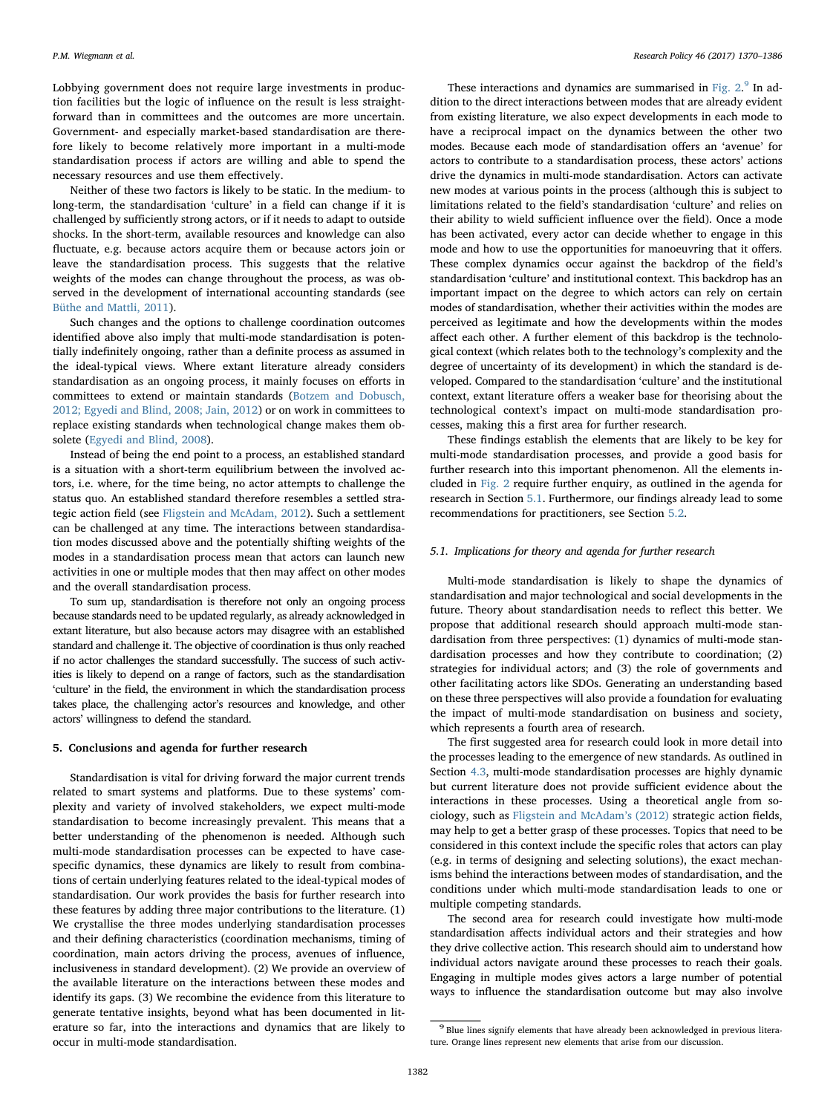Lobbying government does not require large investments in production facilities but the logic of influence on the result is less straightforward than in committees and the outcomes are more uncertain. Government- and especially market-based standardisation are therefore likely to become relatively more important in a multi-mode standardisation process if actors are willing and able to spend the necessary resources and use them effectively.

Neither of these two factors is likely to be static. In the medium- to long-term, the standardisation 'culture' in a field can change if it is challenged by sufficiently strong actors, or if it needs to adapt to outside shocks. In the short-term, available resources and knowledge can also fluctuate, e.g. because actors acquire them or because actors join or leave the standardisation process. This suggests that the relative weights of the modes can change throughout the process, as was observed in the development of international accounting standards (see [Büthe and Mattli, 2011\)](#page-14-6).

Such changes and the options to challenge coordination outcomes identified above also imply that multi-mode standardisation is potentially indefinitely ongoing, rather than a definite process as assumed in the ideal-typical views. Where extant literature already considers standardisation as an ongoing process, it mainly focuses on efforts in committees to extend or maintain standards ([Botzem and Dobusch,](#page-14-10) [2012; Egyedi and Blind, 2008; Jain, 2012\)](#page-14-10) or on work in committees to replace existing standards when technological change makes them obsolete ([Egyedi and Blind, 2008](#page-15-48)).

Instead of being the end point to a process, an established standard is a situation with a short-term equilibrium between the involved actors, i.e. where, for the time being, no actor attempts to challenge the status quo. An established standard therefore resembles a settled strategic action field (see [Fligstein and McAdam, 2012](#page-15-45)). Such a settlement can be challenged at any time. The interactions between standardisation modes discussed above and the potentially shifting weights of the modes in a standardisation process mean that actors can launch new activities in one or multiple modes that then may affect on other modes and the overall standardisation process.

To sum up, standardisation is therefore not only an ongoing process because standards need to be updated regularly, as already acknowledged in extant literature, but also because actors may disagree with an established standard and challenge it. The objective of coordination is thus only reached if no actor challenges the standard successfully. The success of such activities is likely to depend on a range of factors, such as the standardisation 'culture' in the field, the environment in which the standardisation process takes place, the challenging actor's resources and knowledge, and other actors' willingness to defend the standard.

# 5. Conclusions and agenda for further research

Standardisation is vital for driving forward the major current trends related to smart systems and platforms. Due to these systems' complexity and variety of involved stakeholders, we expect multi-mode standardisation to become increasingly prevalent. This means that a better understanding of the phenomenon is needed. Although such multi-mode standardisation processes can be expected to have casespecific dynamics, these dynamics are likely to result from combinations of certain underlying features related to the ideal-typical modes of standardisation. Our work provides the basis for further research into these features by adding three major contributions to the literature. (1) We crystallise the three modes underlying standardisation processes and their defining characteristics (coordination mechanisms, timing of coordination, main actors driving the process, avenues of influence, inclusiveness in standard development). (2) We provide an overview of the available literature on the interactions between these modes and identify its gaps. (3) We recombine the evidence from this literature to generate tentative insights, beyond what has been documented in literature so far, into the interactions and dynamics that are likely to occur in multi-mode standardisation.

These interactions and dynamics are summarised in Fig.  $2.^9$  $2.^9$  In addition to the direct interactions between modes that are already evident from existing literature, we also expect developments in each mode to have a reciprocal impact on the dynamics between the other two modes. Because each mode of standardisation offers an 'avenue' for actors to contribute to a standardisation process, these actors' actions drive the dynamics in multi-mode standardisation. Actors can activate new modes at various points in the process (although this is subject to limitations related to the field's standardisation 'culture' and relies on their ability to wield sufficient influence over the field). Once a mode has been activated, every actor can decide whether to engage in this mode and how to use the opportunities for manoeuvring that it offers. These complex dynamics occur against the backdrop of the field's standardisation 'culture' and institutional context. This backdrop has an important impact on the degree to which actors can rely on certain modes of standardisation, whether their activities within the modes are perceived as legitimate and how the developments within the modes affect each other. A further element of this backdrop is the technological context (which relates both to the technology's complexity and the degree of uncertainty of its development) in which the standard is developed. Compared to the standardisation 'culture' and the institutional context, extant literature offers a weaker base for theorising about the technological context's impact on multi-mode standardisation processes, making this a first area for further research.

These findings establish the elements that are likely to be key for multi-mode standardisation processes, and provide a good basis for further research into this important phenomenon. All the elements included in [Fig. 2](#page-13-0) require further enquiry, as outlined in the agenda for research in Section [5.1.](#page-12-0) Furthermore, our findings already lead to some recommendations for practitioners, see Section [5.2.](#page-14-1)

# <span id="page-12-0"></span>5.1. Implications for theory and agenda for further research

Multi-mode standardisation is likely to shape the dynamics of standardisation and major technological and social developments in the future. Theory about standardisation needs to reflect this better. We propose that additional research should approach multi-mode standardisation from three perspectives: (1) dynamics of multi-mode standardisation processes and how they contribute to coordination; (2) strategies for individual actors; and (3) the role of governments and other facilitating actors like SDOs. Generating an understanding based on these three perspectives will also provide a foundation for evaluating the impact of multi-mode standardisation on business and society, which represents a fourth area of research.

The first suggested area for research could look in more detail into the processes leading to the emergence of new standards. As outlined in Section [4.3](#page-9-0), multi-mode standardisation processes are highly dynamic but current literature does not provide sufficient evidence about the interactions in these processes. Using a theoretical angle from sociology, such as [Fligstein and McAdam](#page-15-45)'s (2012) strategic action fields, may help to get a better grasp of these processes. Topics that need to be considered in this context include the specific roles that actors can play (e.g. in terms of designing and selecting solutions), the exact mechanisms behind the interactions between modes of standardisation, and the conditions under which multi-mode standardisation leads to one or multiple competing standards.

The second area for research could investigate how multi-mode standardisation affects individual actors and their strategies and how they drive collective action. This research should aim to understand how individual actors navigate around these processes to reach their goals. Engaging in multiple modes gives actors a large number of potential ways to influence the standardisation outcome but may also involve

<span id="page-12-1"></span><sup>9</sup> Blue lines signify elements that have already been acknowledged in previous literature. Orange lines represent new elements that arise from our discussion.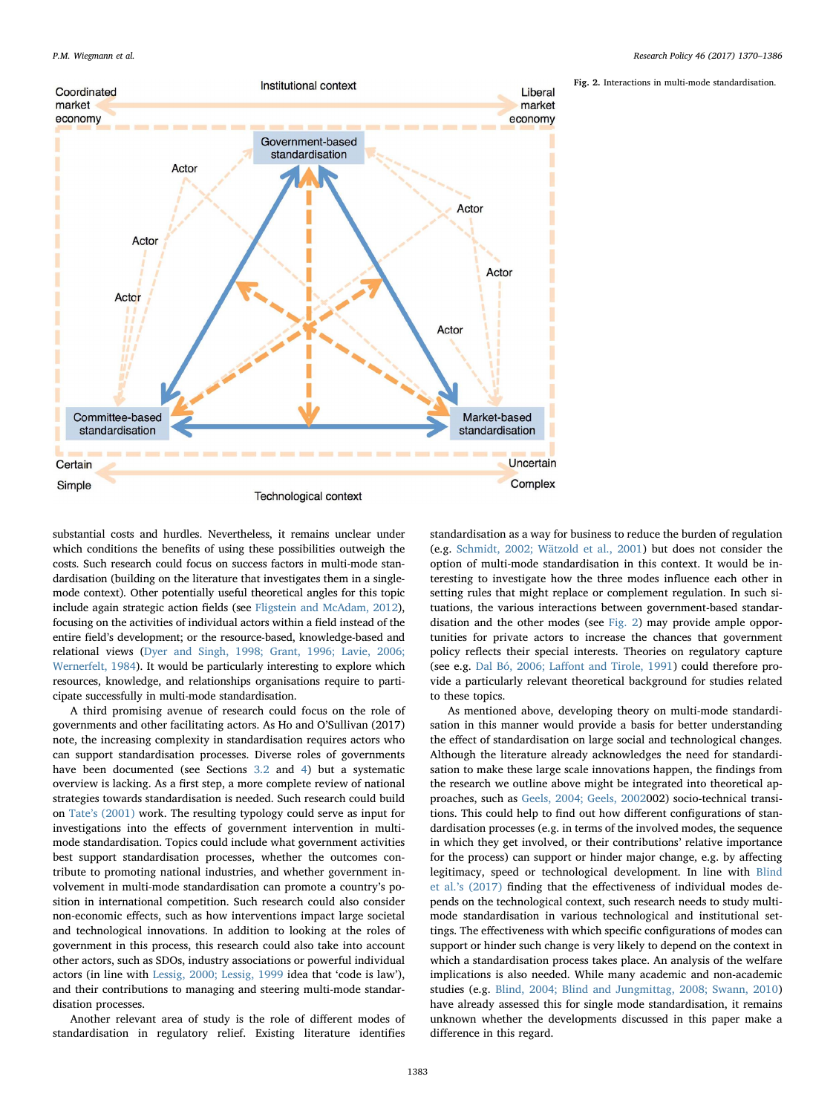Fig. 2. Interactions in multi-mode standardisation.

<span id="page-13-0"></span>

substantial costs and hurdles. Nevertheless, it remains unclear under which conditions the benefits of using these possibilities outweigh the costs. Such research could focus on success factors in multi-mode standardisation (building on the literature that investigates them in a singlemode context). Other potentially useful theoretical angles for this topic include again strategic action fields (see [Fligstein and McAdam, 2012\)](#page-15-45), focusing on the activities of individual actors within a field instead of the entire field's development; or the resource-based, knowledge-based and relational views ([Dyer and Singh, 1998; Grant, 1996; Lavie, 2006;](#page-15-49) [Wernerfelt, 1984\)](#page-15-49). It would be particularly interesting to explore which resources, knowledge, and relationships organisations require to participate successfully in multi-mode standardisation.

A third promising avenue of research could focus on the role of governments and other facilitating actors. As Ho and O'Sullivan (2017) note, the increasing complexity in standardisation requires actors who can support standardisation processes. Diverse roles of governments have been documented (see Sections [3.2](#page-4-0) and [4](#page-7-0)) but a systematic overview is lacking. As a first step, a more complete review of national strategies towards standardisation is needed. Such research could build on Tate'[s \(2001\)](#page-16-20) work. The resulting typology could serve as input for investigations into the effects of government intervention in multimode standardisation. Topics could include what government activities best support standardisation processes, whether the outcomes contribute to promoting national industries, and whether government involvement in multi-mode standardisation can promote a country's position in international competition. Such research could also consider non-economic effects, such as how interventions impact large societal and technological innovations. In addition to looking at the roles of government in this process, this research could also take into account other actors, such as SDOs, industry associations or powerful individual actors (in line with [Lessig, 2000; Lessig, 1999](#page-16-26) idea that 'code is law'), and their contributions to managing and steering multi-mode standardisation processes.

Another relevant area of study is the role of different modes of standardisation in regulatory relief. Existing literature identifies

standardisation as a way for business to reduce the burden of regulation (e.g. [Schmidt, 2002; Wätzold et al., 2001\)](#page-16-27) but does not consider the option of multi-mode standardisation in this context. It would be interesting to investigate how the three modes influence each other in setting rules that might replace or complement regulation. In such situations, the various interactions between government-based standardisation and the other modes (see [Fig. 2\)](#page-13-0) may provide ample opportunities for private actors to increase the chances that government policy reflects their special interests. Theories on regulatory capture (see e.g. Dal Bó, 2006; Laff[ont and Tirole, 1991\)](#page-15-35) could therefore provide a particularly relevant theoretical background for studies related to these topics.

As mentioned above, developing theory on multi-mode standardisation in this manner would provide a basis for better understanding the effect of standardisation on large social and technological changes. Although the literature already acknowledges the need for standardisation to make these large scale innovations happen, the findings from the research we outline above might be integrated into theoretical approaches, such as [Geels, 2004; Geels, 20020](#page-15-50)02) socio-technical transitions. This could help to find out how different configurations of standardisation processes (e.g. in terms of the involved modes, the sequence in which they get involved, or their contributions' relative importance for the process) can support or hinder major change, e.g. by affecting legitimacy, speed or technological development. In line with [Blind](#page-14-20) et al.'[s \(2017\)](#page-14-20) finding that the effectiveness of individual modes depends on the technological context, such research needs to study multimode standardisation in various technological and institutional settings. The effectiveness with which specific configurations of modes can support or hinder such change is very likely to depend on the context in which a standardisation process takes place. An analysis of the welfare implications is also needed. While many academic and non-academic studies (e.g. [Blind, 2004; Blind and Jungmittag, 2008; Swann, 2010\)](#page-14-18) have already assessed this for single mode standardisation, it remains unknown whether the developments discussed in this paper make a difference in this regard.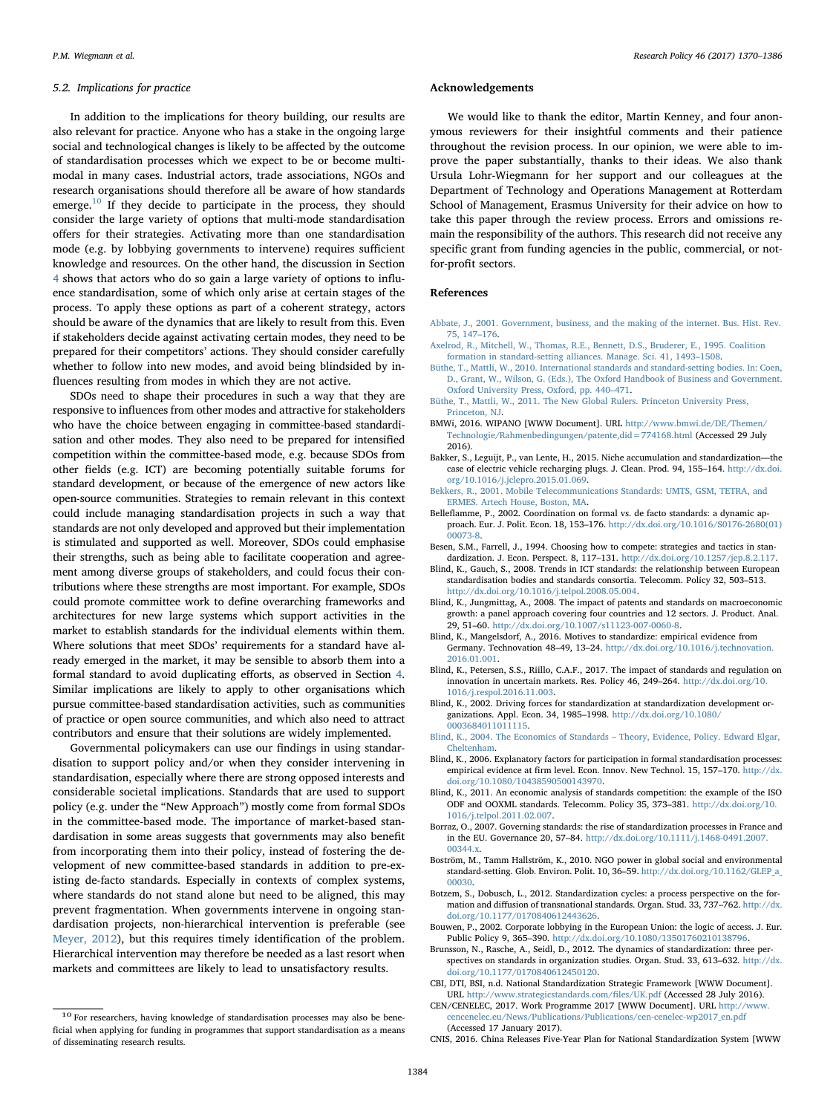#### <span id="page-14-1"></span>5.2. Implications for practice

In addition to the implications for theory building, our results are also relevant for practice. Anyone who has a stake in the ongoing large social and technological changes is likely to be affected by the outcome of standardisation processes which we expect to be or become multimodal in many cases. Industrial actors, trade associations, NGOs and research organisations should therefore all be aware of how standards emerge.<sup>[10](#page-14-23)</sup> If they decide to participate in the process, they should consider the large variety of options that multi-mode standardisation offers for their strategies. Activating more than one standardisation mode (e.g. by lobbying governments to intervene) requires sufficient knowledge and resources. On the other hand, the discussion in Section [4](#page-7-0) shows that actors who do so gain a large variety of options to influence standardisation, some of which only arise at certain stages of the process. To apply these options as part of a coherent strategy, actors should be aware of the dynamics that are likely to result from this. Even if stakeholders decide against activating certain modes, they need to be prepared for their competitors' actions. They should consider carefully whether to follow into new modes, and avoid being blindsided by influences resulting from modes in which they are not active.

SDOs need to shape their procedures in such a way that they are responsive to influences from other modes and attractive for stakeholders who have the choice between engaging in committee-based standardisation and other modes. They also need to be prepared for intensified competition within the committee-based mode, e.g. because SDOs from other fields (e.g. ICT) are becoming potentially suitable forums for standard development, or because of the emergence of new actors like open-source communities. Strategies to remain relevant in this context could include managing standardisation projects in such a way that standards are not only developed and approved but their implementation is stimulated and supported as well. Moreover, SDOs could emphasise their strengths, such as being able to facilitate cooperation and agreement among diverse groups of stakeholders, and could focus their contributions where these strengths are most important. For example, SDOs could promote committee work to define overarching frameworks and architectures for new large systems which support activities in the market to establish standards for the individual elements within them. Where solutions that meet SDOs' requirements for a standard have already emerged in the market, it may be sensible to absorb them into a formal standard to avoid duplicating efforts, as observed in Section [4](#page-7-0). Similar implications are likely to apply to other organisations which pursue committee-based standardisation activities, such as communities of practice or open source communities, and which also need to attract contributors and ensure that their solutions are widely implemented.

Governmental policymakers can use our findings in using standardisation to support policy and/or when they consider intervening in standardisation, especially where there are strong opposed interests and considerable societal implications. Standards that are used to support policy (e.g. under the "New Approach") mostly come from formal SDOs in the committee-based mode. The importance of market-based standardisation in some areas suggests that governments may also benefit from incorporating them into their policy, instead of fostering the development of new committee-based standards in addition to pre-existing de-facto standards. Especially in contexts of complex systems, where standards do not stand alone but need to be aligned, this may prevent fragmentation. When governments intervene in ongoing standardisation projects, non-hierarchical intervention is preferable (see [Meyer, 2012](#page-16-14)), but this requires timely identification of the problem. Hierarchical intervention may therefore be needed as a last resort when markets and committees are likely to lead to unsatisfactory results.

#### Acknowledgements

We would like to thank the editor, Martin Kenney, and four anonymous reviewers for their insightful comments and their patience throughout the revision process. In our opinion, we were able to improve the paper substantially, thanks to their ideas. We also thank Ursula Lohr-Wiegmann for her support and our colleagues at the Department of Technology and Operations Management at Rotterdam School of Management, Erasmus University for their advice on how to take this paper through the review process. Errors and omissions remain the responsibility of the authors. This research did not receive any specific grant from funding agencies in the public, commercial, or notfor-profit sectors.

# References

- <span id="page-14-15"></span>[Abbate, J., 2001. Government, business, and the making of the internet. Bus. Hist. Rev.](http://refhub.elsevier.com/S0048-7333(17)30100-2/sbref0005) [75, 147](http://refhub.elsevier.com/S0048-7333(17)30100-2/sbref0005)–176.
- <span id="page-14-13"></span>[Axelrod, R., Mitchell, W., Thomas, R.E., Bennett, D.S., Bruderer, E., 1995. Coalition](http://refhub.elsevier.com/S0048-7333(17)30100-2/sbref0010) [formation in standard-setting alliances. Manage. Sci. 41, 1493](http://refhub.elsevier.com/S0048-7333(17)30100-2/sbref0010)–1508.
- <span id="page-14-0"></span>[Büthe, T., Mattli, W., 2010. International standards and standard-setting bodies. In: Coen,](http://refhub.elsevier.com/S0048-7333(17)30100-2/sbref0015) [D., Grant, W., Wilson, G. \(Eds.\), The Oxford Handbook of Business and Government.](http://refhub.elsevier.com/S0048-7333(17)30100-2/sbref0015) [Oxford University Press, Oxford, pp. 440](http://refhub.elsevier.com/S0048-7333(17)30100-2/sbref0015)–471.
- <span id="page-14-6"></span>[Büthe, T., Mattli, W., 2011. The New Global Rulers. Princeton University Press,](http://refhub.elsevier.com/S0048-7333(17)30100-2/sbref0020) [Princeton, NJ](http://refhub.elsevier.com/S0048-7333(17)30100-2/sbref0020).
- <span id="page-14-4"></span>BMWi, 2016. WIPANO [WWW Document]. URL [http://www.bmwi.de/DE/Themen/](http://www.bmwi.de/DE/Themen/Technologie/Rahmenbedingungen/patente,did=774168.html) [Technologie/Rahmenbedingungen/patente,did=774168.html](http://www.bmwi.de/DE/Themen/Technologie/Rahmenbedingungen/patente,did=774168.html) (Accessed 29 July 2016).
- <span id="page-14-16"></span>Bakker, S., Leguijt, P., van Lente, H., 2015. Niche accumulation and standardization—the case of electric vehicle recharging plugs. J. Clean. Prod. 94, 155–164. [http://dx.doi.](http://dx.doi.org/10.1016/j.jclepro.2015.01.069) [org/10.1016/j.jclepro.2015.01.069](http://dx.doi.org/10.1016/j.jclepro.2015.01.069).
- <span id="page-14-14"></span>[Bekkers, R., 2001. Mobile Telecommunications Standards: UMTS, GSM, TETRA, and](http://refhub.elsevier.com/S0048-7333(17)30100-2/sbref0035) [ERMES. Artech House, Boston, MA](http://refhub.elsevier.com/S0048-7333(17)30100-2/sbref0035).
- <span id="page-14-2"></span>Belleflamme, P., 2002. Coordination on formal vs. de facto standards: a dynamic approach. Eur. J. Polit. Econ. 18, 153–176. [http://dx.doi.org/10.1016/S0176-2680\(01\)](http://dx.doi.org/10.1016/S0176-2680(01)00073-8) [00073-8](http://dx.doi.org/10.1016/S0176-2680(01)00073-8).
- Besen, S.M., Farrell, J., 1994. Choosing how to compete: strategies and tactics in standardization. J. Econ. Perspect. 8, 117–131. [http://dx.doi.org/10.1257/jep.8.2.117.](http://dx.doi.org/10.1257/jep.8.2.117)
- <span id="page-14-5"></span>Blind, K., Gauch, S., 2008. Trends in ICT standards: the relationship between European standardisation bodies and standards consortia. Telecomm. Policy 32, 503–513. [http://dx.doi.org/10.1016/j.telpol.2008.05.004.](http://dx.doi.org/10.1016/j.telpol.2008.05.004)
- Blind, K., Jungmittag, A., 2008. The impact of patents and standards on macroeconomic growth: a panel approach covering four countries and 12 sectors. J. Product. Anal. 29, 51–60. <http://dx.doi.org/10.1007/s11123-007-0060-8>.
- <span id="page-14-21"></span>Blind, K., Mangelsdorf, A., 2016. Motives to standardize: empirical evidence from Germany. Technovation 48–49, 13–24. [http://dx.doi.org/10.1016/j.technovation.](http://dx.doi.org/10.1016/j.technovation.2016.01.001) [2016.01.001](http://dx.doi.org/10.1016/j.technovation.2016.01.001).
- <span id="page-14-20"></span>Blind, K., Petersen, S.S., Riillo, C.A.F., 2017. The impact of standards and regulation on innovation in uncertain markets. Res. Policy 46, 249–264. [http://dx.doi.org/10.](http://dx.doi.org/10.1016/j.respol.2016.11.003) [1016/j.respol.2016.11.003](http://dx.doi.org/10.1016/j.respol.2016.11.003).
- Blind, K., 2002. Driving forces for standardization at standardization development organizations. Appl. Econ. 34, 1985–1998. [http://dx.doi.org/10.1080/](http://dx.doi.org/10.1080/0003684011011115) [0003684011011115.](http://dx.doi.org/10.1080/0003684011011115)
- <span id="page-14-18"></span>[Blind, K., 2004. The Economics of Standards](http://refhub.elsevier.com/S0048-7333(17)30100-2/sbref0075) – Theory, Evidence, Policy. Edward Elgar, [Cheltenham](http://refhub.elsevier.com/S0048-7333(17)30100-2/sbref0075).
- <span id="page-14-17"></span>Blind, K., 2006. Explanatory factors for participation in formal standardisation processes: empirical evidence at firm level. Econ. Innov. New Technol. 15, 157–170. [http://dx.](http://dx.doi.org/10.1080/10438590500143970) [doi.org/10.1080/10438590500143970](http://dx.doi.org/10.1080/10438590500143970).
- <span id="page-14-12"></span>Blind, K., 2011. An economic analysis of standards competition: the example of the ISO ODF and OOXML standards. Telecomm. Policy 35, 373–381. [http://dx.doi.org/10.](http://dx.doi.org/10.1016/j.telpol.2011.02.007) [1016/j.telpol.2011.02.007](http://dx.doi.org/10.1016/j.telpol.2011.02.007).
- <span id="page-14-7"></span>Borraz, O., 2007. Governing standards: the rise of standardization processes in France and in the EU. Governance 20, 57–84. [http://dx.doi.org/10.1111/j.1468-0491.2007.](http://dx.doi.org/10.1111/j.1468-0491.2007.00344.x) [00344.x.](http://dx.doi.org/10.1111/j.1468-0491.2007.00344.x)
- <span id="page-14-3"></span>Boström, M., Tamm Hallström, K., 2010. NGO power in global social and environmental standard-setting. Glob. Environ. Polit. 10, 36–59. [http://dx.doi.org/10.1162/GLEP\\_a\\_](http://dx.doi.org/10.1162/GLEP_a_00030) [00030.](http://dx.doi.org/10.1162/GLEP_a_00030)
- <span id="page-14-10"></span>Botzem, S., Dobusch, L., 2012. Standardization cycles: a process perspective on the formation and diffusion of transnational standards. Organ. Stud. 33, 737–762. [http://dx.](http://dx.doi.org/10.1177/0170840612443626) [doi.org/10.1177/0170840612443626.](http://dx.doi.org/10.1177/0170840612443626)
- <span id="page-14-11"></span>Bouwen, P., 2002. Corporate lobbying in the European Union: the logic of access. J. Eur. Public Policy 9, 365–390. [http://dx.doi.org/10.1080/13501760210138796.](http://dx.doi.org/10.1080/13501760210138796)
- <span id="page-14-19"></span>Brunsson, N., Rasche, A., Seidl, D., 2012. The dynamics of standardization: three perspectives on standards in organization studies. Organ. Stud. 33, 613–632. [http://dx.](http://dx.doi.org/10.1177/0170840612450120) [doi.org/10.1177/0170840612450120.](http://dx.doi.org/10.1177/0170840612450120)

<span id="page-14-8"></span>CNIS, 2016. China Releases Five-Year Plan for National Standardization System [WWW

<span id="page-14-23"></span> $^{\rm 10}$  For researchers, having knowledge of standardisation processes may also be beneficial when applying for funding in programmes that support standardisation as a means of disseminating research results.

<span id="page-14-9"></span>CBI, DTI, BSI, n.d. National Standardization Strategic Framework [WWW Document]. URL [http://www.strategicstandards.com/](http://www.strategicstandards.com/files/UK.pdf)files/UK.pdf (Accessed 28 July 2016).

<span id="page-14-22"></span>CEN/CENELEC, 2017. Work Programme 2017 [WWW Document]. URL [http://www.](http://www.cencenelec.eu/News/Publications/Publications/cen-cenelec-wp2017_en.pdf) [cencenelec.eu/News/Publications/Publications/cen-cenelec-wp2017\\_en.pdf](http://www.cencenelec.eu/News/Publications/Publications/cen-cenelec-wp2017_en.pdf) (Accessed 17 January 2017).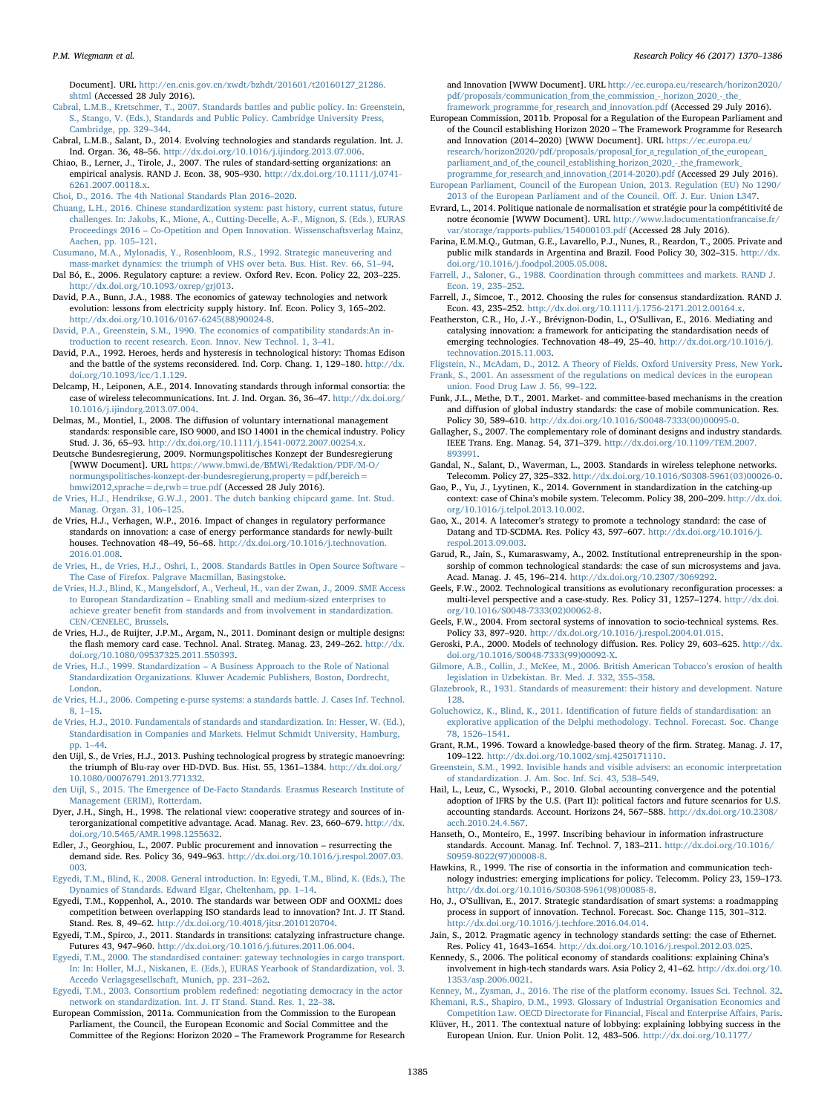Document]. URL [http://en.cnis.gov.cn/xwdt/bzhdt/201601/t20160127\\_21286.](http://en.cnis.gov.cn/xwdt/bzhdt/201601/t20160127_21286.shtml) [shtml](http://en.cnis.gov.cn/xwdt/bzhdt/201601/t20160127_21286.shtml) (Accessed 28 July 2016).

<span id="page-15-33"></span>[Cabral, L.M.B., Kretschmer, T., 2007. Standards battles and public policy. In: Greenstein,](http://refhub.elsevier.com/S0048-7333(17)30100-2/sbref0130) [S., Stango, V. \(Eds.\), Standards and Public Policy. Cambridge University Press,](http://refhub.elsevier.com/S0048-7333(17)30100-2/sbref0130) [Cambridge, pp. 329](http://refhub.elsevier.com/S0048-7333(17)30100-2/sbref0130)–344.

<span id="page-15-41"></span>Cabral, L.M.B., Salant, D., 2014. Evolving technologies and standards regulation. Int. J. Ind. Organ. 36, 48–56. <http://dx.doi.org/10.1016/j.ijindorg.2013.07.006>.

Chiao, B., Lerner, J., Tirole, J., 2007. The rules of standard-setting organizations: an empirical analysis. RAND J. Econ. 38, 905–930. [http://dx.doi.org/10.1111/j.0741-](http://dx.doi.org/10.1111/j.0741-6261.2007.00118.x) [6261.2007.00118.x.](http://dx.doi.org/10.1111/j.0741-6261.2007.00118.x)

<span id="page-15-8"></span>[Choi, D., 2016. The 4th National Standards Plan 2016](http://refhub.elsevier.com/S0048-7333(17)30100-2/sbref0145)–2020.

- <span id="page-15-6"></span>[Chuang, L.H., 2016. Chinese standardization system: past history, current status, future](http://refhub.elsevier.com/S0048-7333(17)30100-2/sbref0150) [challenges. In: Jakobs, K., Mione, A., Cutting-Decelle, A.-F., Mignon, S. \(Eds.\), EURAS](http://refhub.elsevier.com/S0048-7333(17)30100-2/sbref0150) Proceedings 2016 – [Co-Opetition and Open Innovation. Wissenschaftsverlag Mainz,](http://refhub.elsevier.com/S0048-7333(17)30100-2/sbref0150) [Aachen, pp. 105](http://refhub.elsevier.com/S0048-7333(17)30100-2/sbref0150)–121.
- <span id="page-15-15"></span>[Cusumano, M.A., Mylonadis, Y., Rosenbloom, R.S., 1992. Strategic maneuvering and](http://refhub.elsevier.com/S0048-7333(17)30100-2/sbref0155) [mass-market dynamics: the triumph of VHS over beta. Bus. Hist. Rev. 66, 51](http://refhub.elsevier.com/S0048-7333(17)30100-2/sbref0155)–94.
- <span id="page-15-35"></span>Dal Bó, E., 2006. Regulatory capture: a review. Oxford Rev. Econ. Policy 22, 203–225. [http://dx.doi.org/10.1093/oxrep/grj013.](http://dx.doi.org/10.1093/oxrep/grj013)
- <span id="page-15-46"></span>David, P.A., Bunn, J.A., 1988. The economics of gateway technologies and network evolution: lessons from electricity supply history. Inf. Econ. Policy 3, 165–202. [http://dx.doi.org/10.1016/0167-6245\(88\)90024-8.](http://dx.doi.org/10.1016/0167-6245(88)90024-8)
- <span id="page-15-11"></span>[David, P.A., Greenstein, S.M., 1990. The economics of compatibility standards:An in](http://refhub.elsevier.com/S0048-7333(17)30100-2/sbref0170)[troduction to recent research. Econ. Innov. New Technol. 1, 3](http://refhub.elsevier.com/S0048-7333(17)30100-2/sbref0170)–41.
- <span id="page-15-14"></span>David, P.A., 1992. Heroes, herds and hysteresis in technological history: Thomas Edison and the battle of the systems reconsidered. Ind. Corp. Chang. 1, 129–180. [http://dx.](http://dx.doi.org/10.1093/icc/1.1.129) [doi.org/10.1093/icc/1.1.129.](http://dx.doi.org/10.1093/icc/1.1.129)
- <span id="page-15-47"></span>Delcamp, H., Leiponen, A.E., 2014. Innovating standards through informal consortia: the case of wireless telecommunications. Int. J. Ind. Organ. 36, 36–47. [http://dx.doi.org/](http://dx.doi.org/10.1016/j.ijindorg.2013.07.004) [10.1016/j.ijindorg.2013.07.004.](http://dx.doi.org/10.1016/j.ijindorg.2013.07.004)
- <span id="page-15-24"></span>Delmas, M., Montiel, I., 2008. The diffusion of voluntary international management standards: responsible care, ISO 9000, and ISO 14001 in the chemical industry. Policy Stud. J. 36, 65–93. [http://dx.doi.org/10.1111/j.1541-0072.2007.00254.x.](http://dx.doi.org/10.1111/j.1541-0072.2007.00254.x)
- <span id="page-15-9"></span>Deutsche Bundesregierung, 2009. Normungspolitisches Konzept der Bundesregierung [WWW Document]. URL [https://www.bmwi.de/BMWi/Redaktion/PDF/M-O/](https://www.bmwi.de/BMWi/Redaktion/PDF/M-O/normungspolitisches-konzept-der-bundesregierung,property=pdf,bereich=bmwi2012,sprache=de,rwb=true.pdf) [normungspolitisches-konzept-der-bundesregierung,property=pdf,bereich=](https://www.bmwi.de/BMWi/Redaktion/PDF/M-O/normungspolitisches-konzept-der-bundesregierung,property=pdf,bereich=bmwi2012,sprache=de,rwb=true.pdf) [bmwi2012,sprache=de,rwb=true.pdf](https://www.bmwi.de/BMWi/Redaktion/PDF/M-O/normungspolitisches-konzept-der-bundesregierung,property=pdf,bereich=bmwi2012,sprache=de,rwb=true.pdf) (Accessed 28 July 2016).
- [de Vries, H.J., Hendrikse, G.W.J., 2001. The dutch banking chipcard game. Int. Stud.](http://refhub.elsevier.com/S0048-7333(17)30100-2/sbref0195) [Manag. Organ. 31, 106](http://refhub.elsevier.com/S0048-7333(17)30100-2/sbref0195)–125.
- <span id="page-15-23"></span>de Vries, H.J., Verhagen, W.P., 2016. Impact of changes in regulatory performance standards on innovation: a case of energy performance standards for newly-built houses. Technovation 48–49, 56–68. [http://dx.doi.org/10.1016/j.technovation.](http://dx.doi.org/10.1016/j.technovation.2016.01.008) [2016.01.008](http://dx.doi.org/10.1016/j.technovation.2016.01.008).
- <span id="page-15-17"></span>[de Vries, H., de Vries, H.J., Oshri, I., 2008. Standards Battles in Open Source Software](http://refhub.elsevier.com/S0048-7333(17)30100-2/sbref0205) – [The Case of Firefox. Palgrave Macmillan, Basingstoke](http://refhub.elsevier.com/S0048-7333(17)30100-2/sbref0205).
- <span id="page-15-29"></span>de [Vries, H.J., Blind, K., Mangelsdorf, A., Verheul, H., van der Zwan, J., 2009. SME Access](http://refhub.elsevier.com/S0048-7333(17)30100-2/sbref0210) to European Standardization – [Enabling small and medium-sized enterprises to](http://refhub.elsevier.com/S0048-7333(17)30100-2/sbref0210) achieve greater benefi[t from standards and from involvement in standardization.](http://refhub.elsevier.com/S0048-7333(17)30100-2/sbref0210) [CEN/CENELEC, Brussels.](http://refhub.elsevier.com/S0048-7333(17)30100-2/sbref0210)
- <span id="page-15-31"></span>de Vries, H.J., de Ruijter, J.P.M., Argam, N., 2011. Dominant design or multiple designs: the flash memory card case. Technol. Anal. Strateg. Manag. 23, 249–262. [http://dx.](http://dx.doi.org/10.1080/09537325.2011.550393) [doi.org/10.1080/09537325.2011.550393](http://dx.doi.org/10.1080/09537325.2011.550393).
- <span id="page-15-28"></span>de Vries, H.J., 1999. Standardization – [A Business Approach to the Role of National](http://refhub.elsevier.com/S0048-7333(17)30100-2/sbref0220) [Standardization Organizations. Kluwer Academic Publishers, Boston, Dordrecht,](http://refhub.elsevier.com/S0048-7333(17)30100-2/sbref0220) [London.](http://refhub.elsevier.com/S0048-7333(17)30100-2/sbref0220)
- [de Vries, H.J., 2006. Competing e-purse systems: a standards battle. J. Cases Inf. Technol.](http://refhub.elsevier.com/S0048-7333(17)30100-2/sbref0225) [8, 1](http://refhub.elsevier.com/S0048-7333(17)30100-2/sbref0225)–15.
- <span id="page-15-27"></span>[de Vries, H.J., 2010. Fundamentals of standards and standardization. In: Hesser, W. \(Ed.\),](http://refhub.elsevier.com/S0048-7333(17)30100-2/sbref0230) [Standardisation in Companies and Markets. Helmut Schmidt University, Hamburg,](http://refhub.elsevier.com/S0048-7333(17)30100-2/sbref0230) [pp. 1](http://refhub.elsevier.com/S0048-7333(17)30100-2/sbref0230)–44.
- <span id="page-15-19"></span>den Uijl, S., de Vries, H.J., 2013. Pushing technological progress by strategic manoevring: the triumph of Blu-ray over HD-DVD. Bus. Hist. 55, 1361-1384. [http://dx.doi.org/](http://dx.doi.org/10.1080/00076791.2013.771332) [10.1080/00076791.2013.771332](http://dx.doi.org/10.1080/00076791.2013.771332).
- <span id="page-15-12"></span>[den Uijl, S., 2015. The Emergence of De-Facto Standards. Erasmus Research Institute of](http://refhub.elsevier.com/S0048-7333(17)30100-2/sbref0240) [Management \(ERIM\), Rotterdam](http://refhub.elsevier.com/S0048-7333(17)30100-2/sbref0240).
- <span id="page-15-49"></span>Dyer, J.H., Singh, H., 1998. The relational view: cooperative strategy and sources of interorganizational competitive advantage. Acad. Manag. Rev. 23, 660–679. [http://dx.](http://dx.doi.org/10.5465/AMR.1998.1255632) [doi.org/10.5465/AMR.1998.1255632](http://dx.doi.org/10.5465/AMR.1998.1255632).
- <span id="page-15-43"></span>Edler, J., Georghiou, L., 2007. Public procurement and innovation – resurrecting the demand side. Res. Policy 36, 949–963. [http://dx.doi.org/10.1016/j.respol.2007.03.](http://dx.doi.org/10.1016/j.respol.2007.03.003) [003](http://dx.doi.org/10.1016/j.respol.2007.03.003).
- <span id="page-15-48"></span>[Egyedi, T.M., Blind, K., 2008. General introduction. In: Egyedi, T.M., Blind, K. \(Eds.\), The](http://refhub.elsevier.com/S0048-7333(17)30100-2/sbref0255) [Dynamics of Standards. Edward Elgar, Cheltenham, pp. 1](http://refhub.elsevier.com/S0048-7333(17)30100-2/sbref0255)–14.
- <span id="page-15-37"></span>Egyedi, T.M., Koppenhol, A., 2010. The standards war between ODF and OOXML: does competition between overlapping ISO standards lead to innovation? Int. J. IT Stand. Stand. Res. 8, 49–62. [http://dx.doi.org/10.4018/jitsr.2010120704.](http://dx.doi.org/10.4018/jitsr.2010120704)
- <span id="page-15-38"></span>Egyedi, T.M., Spirco, J., 2011. Standards in transitions: catalyzing infrastructure change. Futures 43, 947–960. <http://dx.doi.org/10.1016/j.futures.2011.06.004>.
- <span id="page-15-21"></span>[Egyedi, T.M., 2000. The standardised container: gateway technologies in cargo transport.](http://refhub.elsevier.com/S0048-7333(17)30100-2/sbref0270) [In: In: Holler, M.J., Niskanen, E. \(Eds.\), EURAS Yearbook of Standardization, vol. 3.](http://refhub.elsevier.com/S0048-7333(17)30100-2/sbref0270) [Accedo Verlagsgesellschaft, Munich, pp. 231](http://refhub.elsevier.com/S0048-7333(17)30100-2/sbref0270)–262.

[Egyedi, T.M., 2003. Consortium problem rede](http://refhub.elsevier.com/S0048-7333(17)30100-2/sbref0275)fined: negotiating democracy in the actor [network on standardization. Int. J. IT Stand. Stand. Res. 1, 22](http://refhub.elsevier.com/S0048-7333(17)30100-2/sbref0275)–38.

<span id="page-15-5"></span>European Commission, 2011a. Communication from the Commission to the European Parliament, the Council, the European Economic and Social Committee and the Committee of the Regions: Horizon 2020 – The Framework Programme for Research and Innovation [WWW Document]. URL [http://ec.europa.eu/research/horizon2020/](http://ec.europa.eu/research/horizon2020/pdf/proposals/communication_from_the_commission_-_horizon_2020_-_the_framework_programme_for_research_and_innovation.pdf) pdf/proposals/communication\_from\_the\_commission\_-\_horizon\_2020\_-\_the [framework\\_programme\\_for\\_research\\_and\\_innovation.pdf](http://ec.europa.eu/research/horizon2020/pdf/proposals/communication_from_the_commission_-_horizon_2020_-_the_framework_programme_for_research_and_innovation.pdf) (Accessed 29 July 2016).

European Commission, 2011b. Proposal for a Regulation of the European Parliament and of the Council establishing Horizon 2020 – The Framework Programme for Research and Innovation (2014–2020) [WWW Document]. URL [https://ec.europa.eu/](https://ec.europa.eu/research/horizon2020/pdf/proposals/proposal_for_a_regulation_of_the_european_parliament_and_of_the_council_establishing_horizon_2020_-_the_framework_programme_for_research_and_innovation_(2014-2020).pdf) [research/horizon2020/pdf/proposals/proposal\\_for\\_a\\_regulation\\_of\\_the\\_european\\_](https://ec.europa.eu/research/horizon2020/pdf/proposals/proposal_for_a_regulation_of_the_european_parliament_and_of_the_council_establishing_horizon_2020_-_the_framework_programme_for_research_and_innovation_(2014-2020).pdf) parliament\_and\_of\_the\_council\_establishing\_horizon\_2020\_-\_the\_framework [programme\\_for\\_research\\_and\\_innovation\\_\(2014-2020\).pdf](https://ec.europa.eu/research/horizon2020/pdf/proposals/proposal_for_a_regulation_of_the_european_parliament_and_of_the_council_establishing_horizon_2020_-_the_framework_programme_for_research_and_innovation_(2014-2020).pdf) (Accessed 29 July 2016).

[European Parliament, Council of the European Union, 2013. Regulation \(EU\) No 1290/](http://refhub.elsevier.com/S0048-7333(17)30100-2/sbref0290) [2013 of the European Parliament and of the Council. O](http://refhub.elsevier.com/S0048-7333(17)30100-2/sbref0290)ff. J. Eur. Union L347.

- <span id="page-15-10"></span>Evrard, L., 2014. Politique nationale de normalisation et stratégie pour la compétitivité de notre économie [WWW Document]. URL [http://www.ladocumentationfrancaise.fr/](http://www.ladocumentationfrancaise.fr/var/storage/rapports-publics/154000103.pdf) [var/storage/rapports-publics/154000103.pdf](http://www.ladocumentationfrancaise.fr/var/storage/rapports-publics/154000103.pdf) (Accessed 28 July 2016).
- <span id="page-15-16"></span>Farina, E.M.M.Q., Gutman, G.E., Lavarello, P.J., Nunes, R., Reardon, T., 2005. Private and public milk standards in Argentina and Brazil. Food Policy 30, 302–315. [http://dx.](http://dx.doi.org/10.1016/j.foodpol.2005.05.008) [doi.org/10.1016/j.foodpol.2005.05.008](http://dx.doi.org/10.1016/j.foodpol.2005.05.008).
- <span id="page-15-4"></span>[Farrell, J., Saloner, G., 1988. Coordination through committees and markets. RAND J.](http://refhub.elsevier.com/S0048-7333(17)30100-2/sbref0305) [Econ. 19, 235](http://refhub.elsevier.com/S0048-7333(17)30100-2/sbref0305)–252.
- Farrell, J., Simcoe, T., 2012. Choosing the rules for consensus standardization. RAND J. Econ. 43, 235–252. <http://dx.doi.org/10.1111/j.1756-2171.2012.00164.x>.
- <span id="page-15-0"></span>Featherston, C.R., Ho, J.-Y., Brévignon-Dodin, L., O'Sullivan, E., 2016. Mediating and catalysing innovation: a framework for anticipating the standardisation needs of emerging technologies. Technovation 48–49, 25–40. [http://dx.doi.org/10.1016/j.](http://dx.doi.org/10.1016/j.technovation.2015.11.003) [technovation.2015.11.003.](http://dx.doi.org/10.1016/j.technovation.2015.11.003)

<span id="page-15-45"></span><span id="page-15-22"></span>[Fligstein, N., McAdam, D., 2012. A Theory of Fields. Oxford University Press, New York.](http://refhub.elsevier.com/S0048-7333(17)30100-2/sbref0320) [Frank, S., 2001. An assessment of the regulations on medical devices in the european](http://refhub.elsevier.com/S0048-7333(17)30100-2/sbref0325) [union. Food Drug Law J. 56, 99](http://refhub.elsevier.com/S0048-7333(17)30100-2/sbref0325)–122.

- <span id="page-15-18"></span>Funk, J.L., Methe, D.T., 2001. Market- and committee-based mechanisms in the creation and diffusion of global industry standards: the case of mobile communication. Res. Policy 30, 589–610. [http://dx.doi.org/10.1016/S0048-7333\(00\)00095-0](http://dx.doi.org/10.1016/S0048-7333(00)00095-0).
- <span id="page-15-30"></span>Gallagher, S., 2007. The complementary role of dominant designs and industry standards. IEEE Trans. Eng. Manag. 54, 371–379. [http://dx.doi.org/10.1109/TEM.2007.](http://dx.doi.org/10.1109/TEM.2007.893991) [893991](http://dx.doi.org/10.1109/TEM.2007.893991).
- <span id="page-15-42"></span>Gandal, N., Salant, D., Waverman, L., 2003. Standards in wireless telephone networks. Telecomm. Policy 27, 325–332. [http://dx.doi.org/10.1016/S0308-5961\(03\)00026-0.](http://dx.doi.org/10.1016/S0308-5961(03)00026-0)
- <span id="page-15-20"></span>Gao, P., Yu, J., Lyytinen, K., 2014. Government in standardization in the catching-up context: case of China's mobile system. Telecomm. Policy 38, 200–209. [http://dx.doi.](http://dx.doi.org/10.1016/j.telpol.2013.10.002) [org/10.1016/j.telpol.2013.10.002.](http://dx.doi.org/10.1016/j.telpol.2013.10.002)
- <span id="page-15-2"></span>Gao, X., 2014. A latecomer's strategy to promote a technology standard: the case of Datang and TD-SCDMA. Res. Policy 43, 597–607. [http://dx.doi.org/10.1016/j.](http://dx.doi.org/10.1016/j.respol.2013.09.003) [respol.2013.09.003](http://dx.doi.org/10.1016/j.respol.2013.09.003).
- <span id="page-15-36"></span>Garud, R., Jain, S., Kumaraswamy, A., 2002. Institutional entrepreneurship in the sponsorship of common technological standards: the case of sun microsystems and java. Acad. Manag. J. 45, 196–214. <http://dx.doi.org/10.2307/3069292>.
- Geels, F.W., 2002. Technological transitions as evolutionary reconfiguration processes: a multi-level perspective and a case-study. Res. Policy 31, 1257–1274. [http://dx.doi.](http://dx.doi.org/10.1016/S0048-7333(02)00062-8) [org/10.1016/S0048-7333\(02\)00062-8](http://dx.doi.org/10.1016/S0048-7333(02)00062-8).

<span id="page-15-50"></span>Geels, F.W., 2004. From sectoral systems of innovation to socio-technical systems. Res. Policy 33, 897–920. <http://dx.doi.org/10.1016/j.respol.2004.01.015>.

- Geroski, P.A., 2000. Models of technology diffusion. Res. Policy 29, 603–625. [http://dx.](http://dx.doi.org/10.1016/S0048-7333(99)00092-X) [doi.org/10.1016/S0048-7333\(99\)00092-X](http://dx.doi.org/10.1016/S0048-7333(99)00092-X).
- <span id="page-15-13"></span>[Gilmore, A.B., Collin, J., McKee, M., 2006. British American Tobacco](http://refhub.elsevier.com/S0048-7333(17)30100-2/sbref0375)'s erosion of health [legislation in Uzbekistan. Br. Med. J. 332, 355](http://refhub.elsevier.com/S0048-7333(17)30100-2/sbref0375)–358.

<span id="page-15-25"></span>[Glazebrook, R., 1931. Standards of measurement: their history and development. Nature](http://refhub.elsevier.com/S0048-7333(17)30100-2/sbref0380) [128](http://refhub.elsevier.com/S0048-7333(17)30100-2/sbref0380).

- <span id="page-15-40"></span>[Goluchowicz, K., Blind, K., 2011. Identi](http://refhub.elsevier.com/S0048-7333(17)30100-2/sbref0385)fication of future fields of standardisation: an [explorative application of the Delphi methodology. Technol. Forecast. Soc. Change](http://refhub.elsevier.com/S0048-7333(17)30100-2/sbref0385) [78, 1526](http://refhub.elsevier.com/S0048-7333(17)30100-2/sbref0385)–1541.
- Grant, R.M., 1996. Toward a knowledge-based theory of the firm. Strateg. Manag. J. 17, 109–122. [http://dx.doi.org/10.1002/smj.4250171110.](http://dx.doi.org/10.1002/smj.4250171110)

[Greenstein, S.M., 1992. Invisible hands and visible advisers: an economic interpretation](http://refhub.elsevier.com/S0048-7333(17)30100-2/sbref0395) [of standardization. J. Am. Soc. Inf. Sci. 43, 538](http://refhub.elsevier.com/S0048-7333(17)30100-2/sbref0395)–549.

- <span id="page-15-26"></span>Hail, L., Leuz, C., Wysocki, P., 2010. Global accounting convergence and the potential adoption of IFRS by the U.S. (Part II): political factors and future scenarios for U.S. accounting standards. Account. Horizons 24, 567–588. [http://dx.doi.org/10.2308/](http://dx.doi.org/10.2308/acch.2010.24.4.567) [acch.2010.24.4.567](http://dx.doi.org/10.2308/acch.2010.24.4.567).
- Hanseth, O., Monteiro, E., 1997. Inscribing behaviour in information infrastructure standards. Account. Manag. Inf. Technol. 7, 183–211. [http://dx.doi.org/10.1016/](http://dx.doi.org/10.1016/S0959-8022(97)00008-8) [S0959-8022\(97\)00008-8](http://dx.doi.org/10.1016/S0959-8022(97)00008-8).
- <span id="page-15-44"></span>Hawkins, R., 1999. The rise of consortia in the information and communication technology industries: emerging implications for policy. Telecomm. Policy 23, 159–173. [http://dx.doi.org/10.1016/S0308-5961\(98\)00085-8](http://dx.doi.org/10.1016/S0308-5961(98)00085-8).
- <span id="page-15-7"></span>Ho, J., O'Sullivan, E., 2017. Strategic standardisation of smart systems: a roadmapping process in support of innovation. Technol. Forecast. Soc. Change 115, 301–312. [http://dx.doi.org/10.1016/j.techfore.2016.04.014.](http://dx.doi.org/10.1016/j.techfore.2016.04.014)
- <span id="page-15-1"></span>Jain, S., 2012. Pragmatic agency in technology standards setting: the case of Ethernet. Res. Policy 41, 1643–1654. [http://dx.doi.org/10.1016/j.respol.2012.03.025.](http://dx.doi.org/10.1016/j.respol.2012.03.025)
- <span id="page-15-39"></span>Kennedy, S., 2006. The political economy of standards coalitions: explaining China's involvement in high-tech standards wars. Asia Policy 2, 41–62. [http://dx.doi.org/10.](http://dx.doi.org/10.1353/asp.2006.0021) [1353/asp.2006.0021.](http://dx.doi.org/10.1353/asp.2006.0021)

<span id="page-15-32"></span><span id="page-15-3"></span>Kenney, [M., Zysman, J., 2016. The rise of the platform economy. Issues Sci. Technol. 32.](http://refhub.elsevier.com/S0048-7333(17)30100-2/sbref0430) [Khemani, R.S., Shapiro, D.M., 1993. Glossary of Industrial Organisation Economics and](http://refhub.elsevier.com/S0048-7333(17)30100-2/sbref0435)

<span id="page-15-34"></span>[Competition Law. OECD Directorate for Financial, Fiscal and Enterprise A](http://refhub.elsevier.com/S0048-7333(17)30100-2/sbref0435)ffairs, Paris. Klüver, H., 2011. The contextual nature of lobbying: explaining lobbying success in the

European Union. Eur. Union Polit. 12, 483–506. [http://dx.doi.org/10.1177/](http://dx.doi.org/10.1177/1465116511413163)